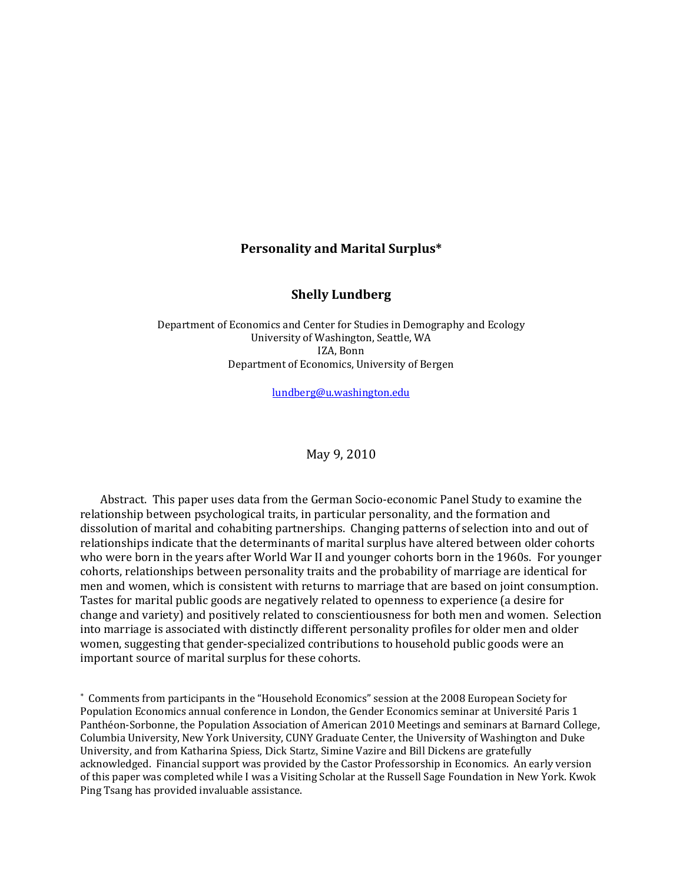#### **Personality and Marital Surplus\***

#### **Shelly Lundberg**

Department of Economics and Center for Studies in Demography and Ecology University of Washington, Seattle, WA IZA, Bonn Department of Economics, University of Bergen

 $l$ undberg@u.w ashington.edu

May 9, 2010

Abstract. This paper uses data from the German Socio‐economic Panel Study to examine the relationship between psychological traits, in particular personality, and the formation and dissolution of marital and cohabiting partnerships. Changing patterns of selection into and out of relationships indicate that the determinants of marital surplus have altered between older cohorts who were born in the years after World War II and younger cohorts born in the 1960s. For younger cohorts, relationships between personality traits and the probability of marriage are identical for men and women, which is consistent with returns to marriage that are based on joint consumption. Tastes for marital public goods are negatively related to openness to experience (a desire for change and variety) and positively related to conscientiousness for both men and women. Selection into marriage is associated with distinctly different personality profiles for older men and older women, suggesting that gender-specialized contributions to household public goods were an mportant source of marital surplus for these cohorts. i

∗ Comments from participants in the "Household Economics" session at the 2008 European Society for Population Economics annual conference in London, the Gender Economics seminar at Université Paris 1 Panthéon‐Sorbonne, the Population Association of American 2010 Meetings and seminars at Barnard College, Columbia University, New York University, CUNY Graduate Center, the University of Washington and Duke University, and from Katharina Spiess, Dick Startz, Simine Vazire and Bill Dickens are gratefully acknowledged. Financial support was provided by the Castor Professorship in Economics. An early version of this paper was completed while I was a Visiting Scholar at the Russell Sage Foundation in New York. Kwok Ping Tsang has provided invaluable assistance.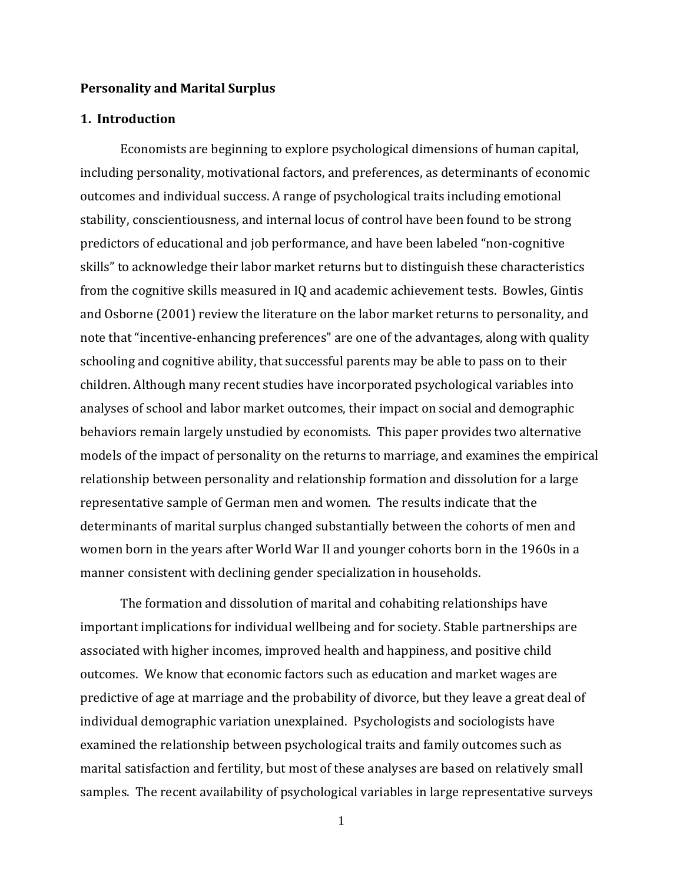#### **Personality and Marital Surplus**

### **1. Introduction**

manner consistent with declining gender specialization in households. Economists are beginning to explore psychological dimensions of human capital, including personality, motivational factors, and preferences, as determinants of economic outcomes and individual success. A range of psychological traits including emotional stability, conscientiousness, and internal locus of control have been found to be strong predictors of educational and job performance, and have been labeled "non‐cognitive skills" to acknowledge their labor market returns but to distinguish these characteristics from the cognitive skills measured in IQ and academic achievement tests. Bowles, Gintis and Osborne (2001) review the literature on the labor market returns to personality, and note that "incentive-enhancing preferences" are one of the advantages, along with quality schooling and cognitive ability, that successful parents may be able to pass on to their children. Although many recent studies have incorporated psychological variables into analyses of school and labor market outcomes, their impact on social and demographic behaviors remain largely unstudied by economists. This paper provides two alternative models of the impact of personality on the returns to marriage, and examines the empirical relationship between personality and relationship formation and dissolution for a large representative sample of German men and women. The results indicate that the determinants of marital surplus changed substantially between the cohorts of men and women born in the years after World War II and younger cohorts born in the 1960s in a

The formation and dissolution of marital and cohabiting relationships have important implications for individual wellbeing and for society. Stable partnerships are associated with higher incomes, improved health and happiness, and positive child outcomes. We know that economic factors such as education and market wages are predictive of age at marriage and the probability of divorce, but they leave a great deal of individual demographic variation unexplained. Psychologists and sociologists have examined the relationship between psychological traits and family outcomes such as marital satisfaction and fertility, but most of these analyses are based on relatively small samples. The recent availability of psychological variables in large representative surveys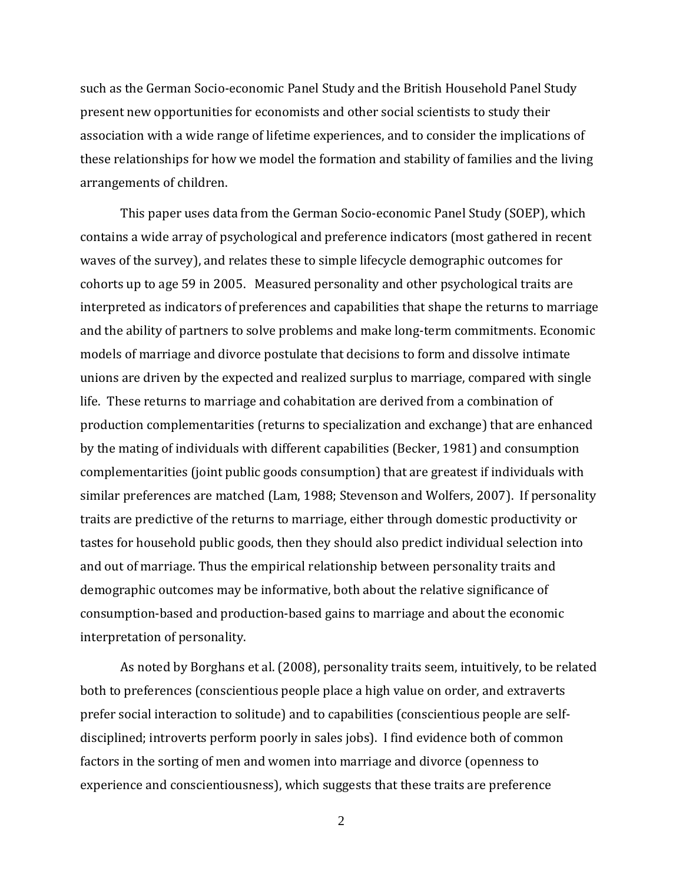such as the German Socio‐economic Panel Study and the British Household Panel Study present new opportunities for economists and other social scientists to study their association with a wide range of lifetime experiences, and to consider the implications of these relationships for how we model the formation and stability of families and the living arrangements of children.

interpretation of personality. This paper uses data from the German Socio‐economic Panel Study (SOEP), which contains a wide array of psychological and preference indicators (most gathered in recent waves of the survey), and relates these to simple lifecycle demographic outcomes for cohorts up to age 59 in 2005. Measured personality and other psychological traits are interpreted as indicators of preferences and capabilities that shape the returns to marriage and the ability of partners to solve problems and make long‐term commitments. Economic models of marriage and divorce postulate that decisions to form and dissolve intimate unions are driven by the expected and realized surplus to marriage, compared with single life. These returns to marriage and cohabitation are derived from a combination of production complementarities (returns to specialization and exchange) that are enhanced by the mating of individuals with different capabilities (Becker, 1981) and consumption complementarities (joint public goods consumption) that are greatest if individuals with similar preferences are matched (Lam, 1988; Stevenson and Wolfers, 2007). If personality traits are predictive of the returns to marriage, either through domestic productivity or tastes for household public goods, then they should also predict individual selection into and out of marriage. Thus the empirical relationship between personality traits and demographic outcomes may be informative, both about the relative significance of consumption‐based and production‐based gains to marriage and about the economic

As noted by Borghans et al. (2008), personality traits seem, intuitively, to be related both to preferences (conscientious people place a high value on order, and extraverts prefer social interaction to solitude) and to capabilities (conscientious people are self‐ disciplined; introverts perform poorly in sales jobs). I find evidence both of common factors in the sorting of men and women into marriage and divorce (openness to experience and conscientiousness), which suggests that these traits are preference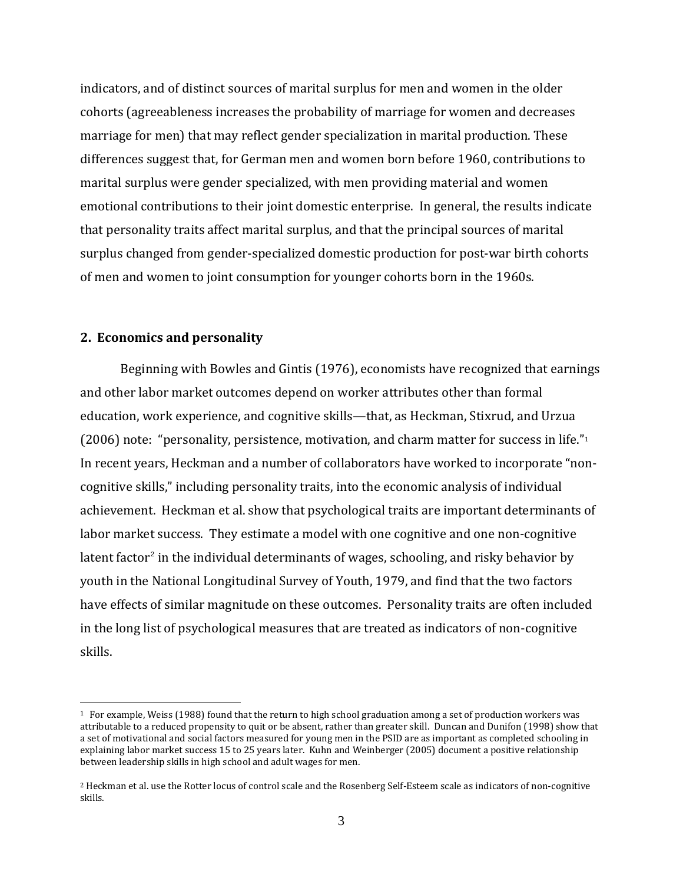indicators, and of distinct sources of marital surplus for men and women in the older cohorts (agreeableness increases the probability of marriage for women and decreases marriage for men) that may reflect gender specialization in marital production. These differences suggest that, for German men and women born before 1960, contributions to marital surplus were gender specialized, with men providing material and women emotional contributions to their joint domestic enterprise. In general, the results indicate that personality traits affect marital surplus, and that the principal sources of marital surplus changed from gender‐specialized domestic production for post‐war birth cohorts of men and women to joint consumption for younger cohorts born in the 1960s.

## **2. Economics and personality**

 $\overline{a}$ 

Beginning with Bowles and Gintis (1976), economists have recognized that earnings and other labor market outcomes depend on worker attributes other than formal education, work experience, and cognitive skills—that, as Heckman, Stixrud, and Urzua (2006) note: "personality, persistence, motivation, and charm matter for success in life."[1](#page-3-0) In recent years, Heckman and a number of collaborators have worked to incorporate "non‐ cognitive skills," including personality traits, into the economic analysis of individual achievement. Heckman et al. show that psychological traits are important determinants of labor market success. They estimate a model with one cognitive and one non-cognitive latent factor<sup>[2](#page-3-1)</sup> in the individual determinants of wages, schooling, and risky behavior by youth in the National Longitudinal Survey of Youth, 1979, and find that the two factors have effects of similar magnitude on these outcomes. Personality traits are often included in the long list of psychological measures that are treated as indicators of non‐cognitive skills.

<sup>1</sup> For example, Weiss (1988) found that the return to high school graduation among a set of production workers was attributable to a reduced propensity to quit or be absent, rather than greater skill. Duncan and Dunifon (1998) show that a set of motivational and social factors measured for young men in the PSID are as important as completed schooling in explaining labor market success 15 to 25 years later. Kuhn and Weinberger (2005) document a positive relationship b etween leadership skills in high school and adult wages for men.

<span id="page-3-1"></span><span id="page-3-0"></span><sup>2</sup> Heckman et al. use the Rotter locus of control scale and the Rosenberg Self‐Esteem scale as indicators of non‐cognitive skills.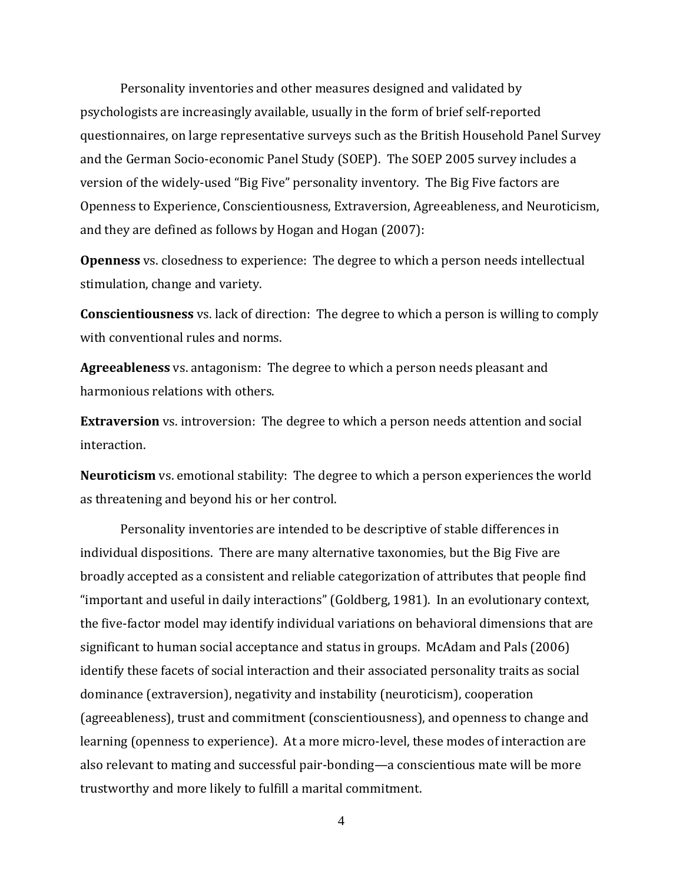Personality inventories and other measures designed and validated by psychologists are increasingly available, usually in the form of brief self‐reported questionnaires, on large representative surveys such as the British Household Panel Survey and the German Socio‐economic Panel Study (SOEP). The SOEP 2005 survey includes a version of the widely‐used "Big Five" personality inventory. The Big Five factors are Openness to Experience, Conscientiousness, Extraversion, Agreeableness, and Neuroticism, and they are defined as follows by Hogan and Hogan (2007):

**Openness** vs. closedness to experience: The degree to which a person needs intellectual stimulation, change and variety.

**Conscientiousness** vs. lack of direction: The degree to which a person is willing to comply with conventional rules and norms.

**Agreeableness** vs. antagonism: The degree to which a person needs pleasant and harmonious relations with others.

**Extraversion** vs. introversion: The degree to which a person needs attention and social interaction.

as threatening and beyond his or her control. **Neuroticism** vs. emotional stability: The degree to which a person experiences the world

Personality inventories are intended to be descriptive of stable differences in individual dispositions. There are many alternative taxonomies, but the Big Five are broadly accepted as a consistent and reliable categorization of attributes that people find "important and useful in daily interactions" (Goldberg, 1981). In an evolutionary context, the five‐factor model may identify individual variations on behavioral dimensions that are significant to human social acceptance and status in groups. McAdam and Pals (2006) identify these facets of social interaction and their associated personality traits as social dominance (extraversion), negativity and instability (neuroticism), cooperation (agreeableness), trust and commitment (conscientiousness), and openness to change and learning (openness to experience). At a more micro‐level, these modes of interaction are also relevant to mating and successful pair‐bonding—a conscientious mate will be more trustworthy and more likely to fulfill a marital commitment.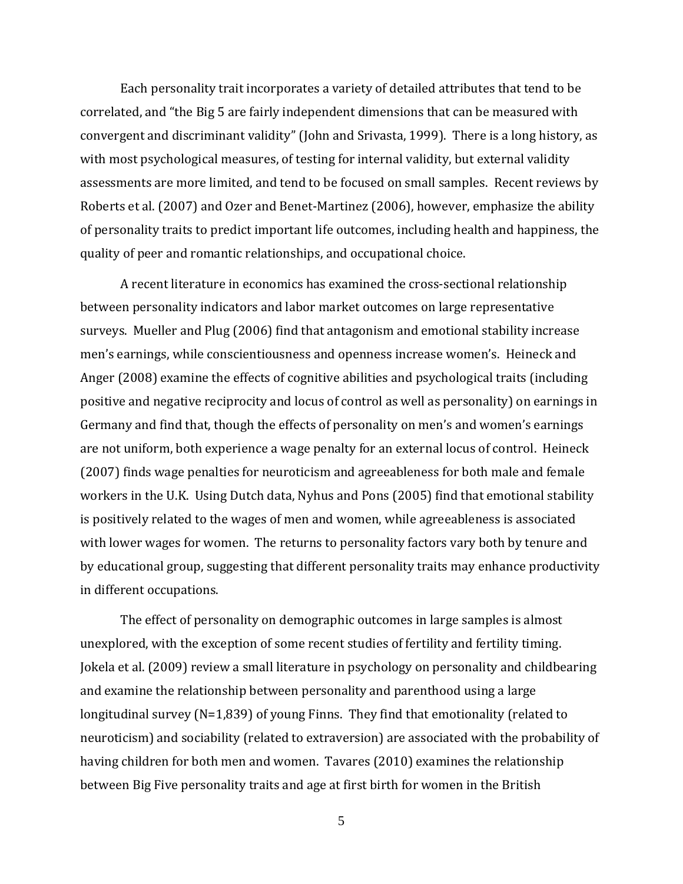Each personality trait incorporates a variety of detailed attributes that tend to be correlated, and "the Big 5 are fairly independent dimensions that can be measured with convergent and discriminant validity" (John and Srivasta, 1999). There is a long history, as with most psychological measures, of testing for internal validity, but external validity assessments are more limited, and tend to be focused on small samples. Recent reviews by Roberts et al. (2007) and Ozer and Benet‐Martinez (2006), however, emphasize the ability of personality traits to predict important life outcomes, including health and happiness, the quality of peer and romantic relationships, and occupational choice.

in different occupations. A recent literature in economics has examined the cross‐sectional relationship between personality indicators and labor market outcomes on large representative surveys. Mueller and Plug (2006) find that antagonism and emotional stability increase men's earnings, while conscientiousness and openness increase women's. Heineck and Anger (2008) examine the effects of cognitive abilities and psychological traits (including positive and negative reciprocity and locus of control as well as personality) on earnings in Germany and find that, though the effects of personality on men's and women's earnings are not uniform, both experience a wage penalty for an external locus of control. Heineck (2007) finds wage penalties for neuroticism and agreeableness for both male and female workers in the U.K. Using Dutch data, Nyhus and Pons (2005) find that emotional stability is positively related to the wages of men and women, while agreeableness is associated with lower wages for women. The returns to personality factors vary both by tenure and by educational group, suggesting that different personality traits may enhance productivity

The effect of personality on demographic outcomes in large samples is almost unexplored, with the exception of some recent studies of fertility and fertility timing. Jokela et al. (2009) review a small literature in psychology on personality and childbearing and examine the relationship between personality and parenthood using a large longitudinal survey (N=1,839) of young Finns. They find that emotionality (related to neuroticism) and sociability (related to extraversion) are associated with the probability of having children for both men and women. Tavares (2010) examines the relationship between Big Five personality traits and age at first birth for women in the British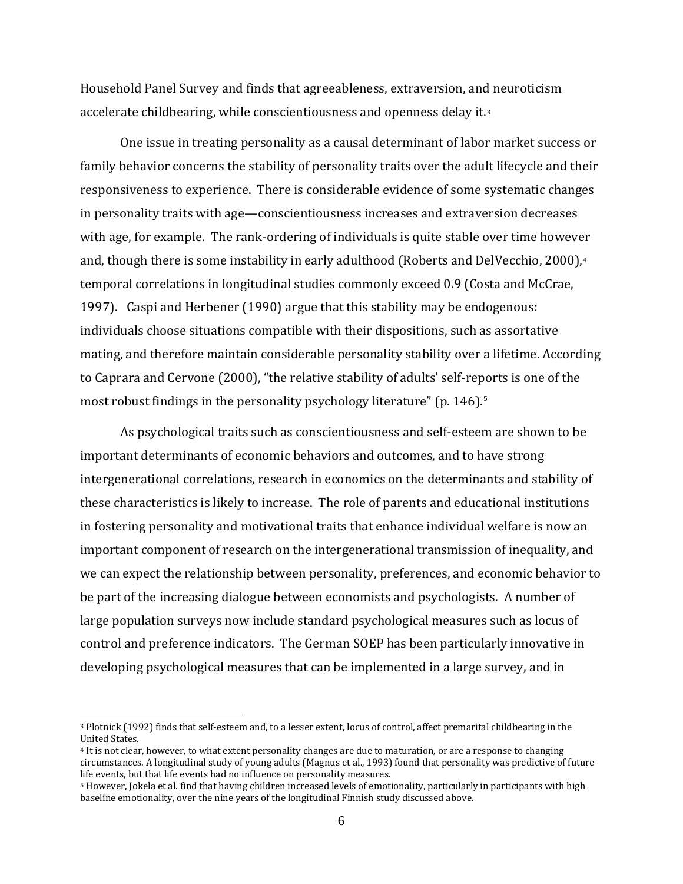<span id="page-6-0"></span>Household Panel Survey and finds that agreeableness, extraversion, and neuroticism accelerate childbearing, while conscientiousness and openness delay it.[3](#page-6-0)

One issue in treating personality as a causal determinant of labor market success or family behavior concerns the stability of personality traits over the adult lifecycle and their responsiveness to experience. There is considerable evidence of some systematic changes in personality traits with age—conscientiousness increases and extraversion decreases with age, for example. The rank-ordering of individuals is quite stable over time however and, though there is some instability in early adulthood (Roberts and DelVecchio, 2000),<sup>[4](#page-6-0)</sup> temporal correlations in longitudinal studies commonly exceed 0.9 (Costa and McCrae, 1997). Caspi and Herbener (1990) argue that this stability may be endogenous: individuals choose situations compatible with their dispositions, such as assortative mating, and therefore maintain considerable personality stability over a lifetime. According to Caprara and Cervone (2000), "the relative stability of adults' self‐reports is one of the most robust findings in the personality psychology literature" (p. 146).<sup>5</sup>

As psychological traits such as conscientiousness and self‐esteem are shown to be important determinants of economic behaviors and outcomes, and to have strong intergenerational correlations, research in economics on the determinants and stability of these characteristics is likely to increase. The role of parents and educational institutions in fostering personality and motivational traits that enhance individual welfare is now an important component of research on the intergenerational transmission of inequality, and we can expect the relationship between personality, preferences, and economic behavior to be part of the increasing dialogue between economists and psychologists. A number of large population surveys now include standard psychological measures such as locus of control and preference indicators. The German SOEP has been particularly innovative in developing psychological measures that can be implemented in a large survey, and in

 $\overline{a}$ 

<sup>3</sup> Plotnick (1992) finds that self‐esteem and, to a lesser extent, locus of control, affect premarital childbearing in the United States.

<sup>4</sup> It is not clear, however, to what extent personality changes are due to maturation, or are a response to changing circumstances. A longitudinal study of young adults (Magnus et al., 1993) found that personality was predictive of future life events, but that life events had no influence on personality measures.

<sup>5</sup> However, Jokela et al. find that having children increased levels of emotionality, particularly in participants with high baseline emotionality, over the nine years of the longitudinal Finnish study discussed above.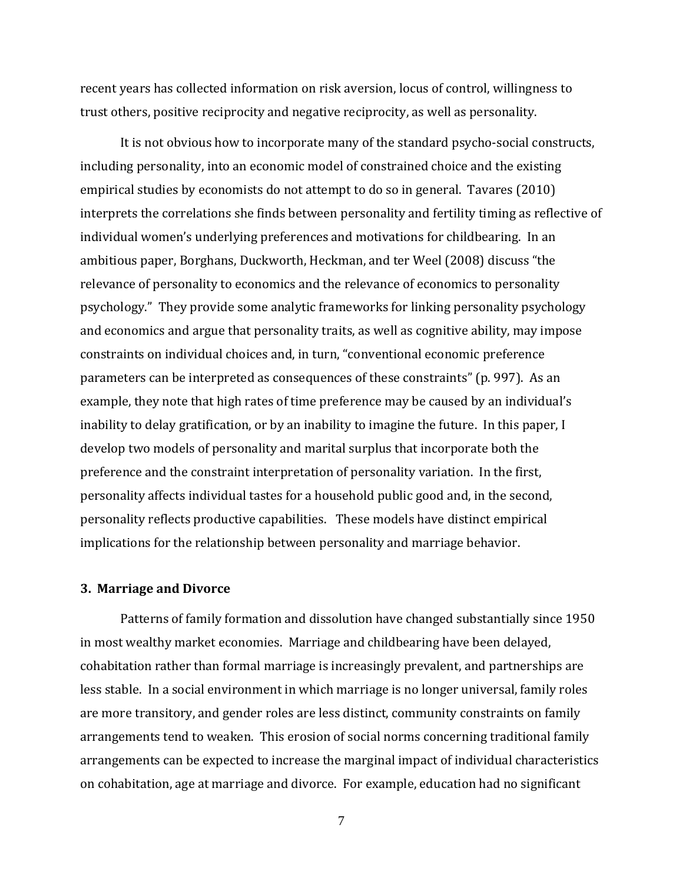recent years has collected information on risk aversion, locus of control, willingness to trust others, positive reciprocity and negative reciprocity, as well as personality.

It is not obvious how to incorporate many of the standard psycho‐social constructs, including personality, into an economic model of constrained choice and the existing empirical studies by economists do not attempt to do so in general. Tavares (2010) interprets the correlations she finds between personality and fertility timing as reflective of individual women's underlying preferences and motivations for childbearing. In an ambitious paper, Borghans, Duckworth, Heckman, and ter Weel (2008) discuss "the relevance of personality to economics and the relevance of economics to personality psychology." They provide some analytic frameworks for linking personality psychology and economics and argue that personality traits, as well as cognitive ability, may impose constraints on individual choices and, in turn, "conventional economic preference parameters can be interpreted as consequences of these constraints" (p. 997). As an example, they note that high rates of time preference may be caused by an individual's inability to delay gratification, or by an inability to imagine the future. In this paper, I develop two models of personality and marital surplus that incorporate both the preference and the constraint interpretation of personality variation. In the first, personality affects individual tastes for a household public good and, in the second, personality reflects productive capabilities. These models have distinct empirical implications for the relationship between personality and marriage behavior.

#### **riage and Divorce 3. Mar**

Patterns of family formation and dissolution have changed substantially since 1950 in most wealthy market economies. Marriage and childbearing have been delayed, cohabitation rather than formal marriage is increasingly prevalent, and partnerships are less stable. In a social environment in which marriage is no longer universal, family roles are more transitory, and gender roles are less distinct, community constraints on family arrangements tend to weaken. This erosion of social norms concerning traditional family arrangements can be expected to increase the marginal impact of individual characteristics on cohabitation, age at marriage and divorce. For example, education had no significant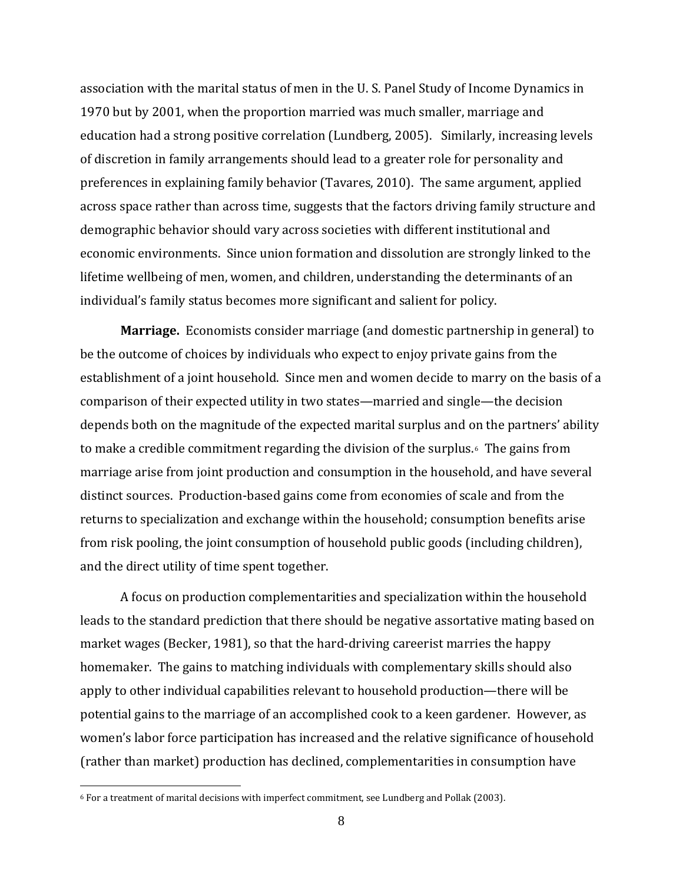<span id="page-8-0"></span>association with the marital status of men in the U. S. Panel Study of Income Dynamics in 1970 but by 2001, when the proportion married was much smaller, marriage and education had a strong positive correlation (Lundberg, 2005). Similarly, increasing levels of discretion in family arrangements should lead to a greater role for personality and preferences in explaining family behavior (Tavares, 2010). The same argument, applied across space rather than across time, suggests that the factors driving family structure and demographic behavior should vary across societies with different institutional and economic environments. Since union formation and dissolution are strongly linked to the lifetime wellbeing of men, women, and children, understanding the determinants of an individual's family status becomes more significant and salient for policy.

**Marriage.** Economists consider marriage (and domestic partnership in general) to be the outcome of choices by individuals who expect to enjoy private gains from the establishment of a joint household. Since men and women decide to marry on the basis of a comparison of their expected utility in two states—married and single—the decision depends both on the magnitude of the expected marital surplus and on the partners' ability to make a credible commitment regarding the division of the surplus.[6](#page-8-0) The gains from marriage arise from joint production and consumption in the household, and have several distinct sources. Production‐based gains come from economies of scale and from the returns to specialization and exchange within the household; consumption benefits arise from risk pooling, the joint consumption of household public goods (including children), and the direct utility of time spent together.

A focus on production complementarities and specialization within the household leads to the standard prediction that there should be negative assortative mating based on market wages (Becker, 1981), so that the hard-driving careerist marries the happy homemaker. The gains to matching individuals with complementary skills should also apply to other individual capabilities relevant to household production—there will be potential gains to the marriage of an accomplished cook to a keen gardener. However, as women's labor force participation has increased and the relative significance of household (rather than market) production has declined, complementarities in consumption have

 $\overline{a}$ 

<sup>6</sup> For a treatment of marital decisions with imperfect commitment, see Lundberg and Pollak (2003).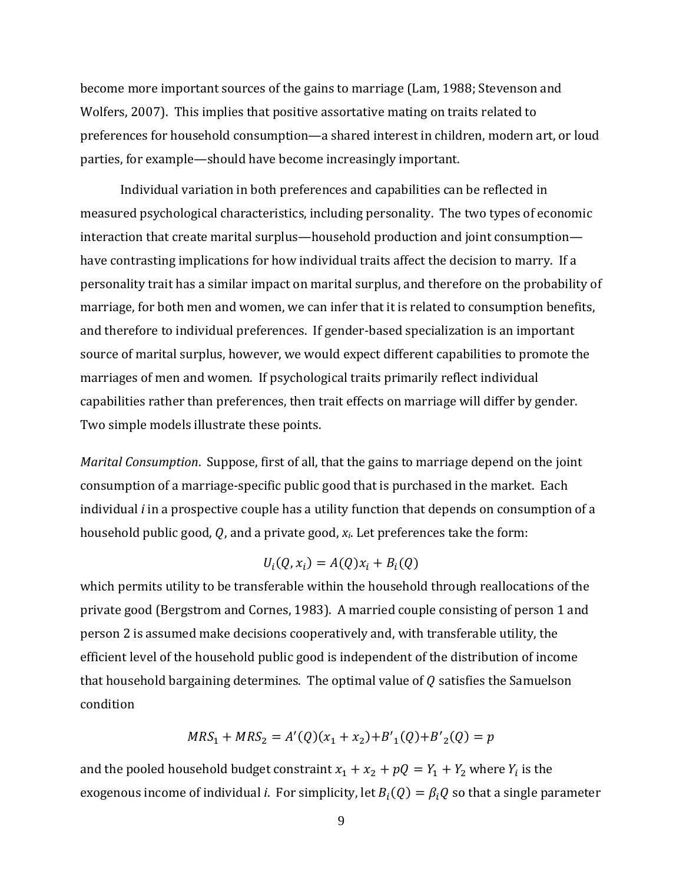become more important sources of the gains to marriage (Lam, 1988; Stevenson and Wolfers, 2007). This implies that positive assortative mating on traits related to preferences for household consumption—a shared interest in children, modern art, or loud parties, for example—should have become increasingly important.

Individual variation in both preferences and capabilities can be reflected in measured psychological characteristics, including personality. The two types of economic interaction that create marital surplus—household production and joint consumption have contrasting implications for how individual traits affect the decision to marry. If a personality trait has a similar impact on marital surplus, and therefore on the probability of marriage, for both men and women, we can infer that it is related to consumption benefits, and therefore to individual preferences. If gender‐based specialization is an important source of marital surplus, however, we would expect different capabilities to promote the marriages of men and women. If psychological traits primarily reflect individual capabilities rather than preferences, then trait effects on marriage will differ by gender. Two simple models illustrate these points.

*Marital Consumption*. Suppose, first of all, that the gains to marriage depend on the joint consumption of a marriage‐specific public good that is purchased in the market. Each individual *i* in a prospective couple has a utility function that depends on consumption of a household public good, Q, and a private good,  $x_i$ . Let preferences take the form:

$$
U_i(Q, x_i) = A(Q)x_i + B_i(Q)
$$

which permits utility to be transferable within the household through reallocations of the private good (Bergstrom and Cornes, 1983). A married couple consisting of person 1 and person 2 is assumed make decisions cooperatively and, with transferable utility, the efficient level of the household public good is independent of the distribution of income that household bargaining determines. The optimal value of  $Q$  satisfies the Samuelson condition

$$
MRS_1 + MRS_2 = A'(Q)(x_1 + x_2) + B'_1(Q) + B'_2(Q) = p
$$

and the pooled household budget constraint  $x_1 + x_2 + pQ = Y_1 + Y_2$  where  $Y_i$  is the exogenous income of individual *i*. For simplicity, let  $B_i(Q) = \beta_i Q$  so that a single parameter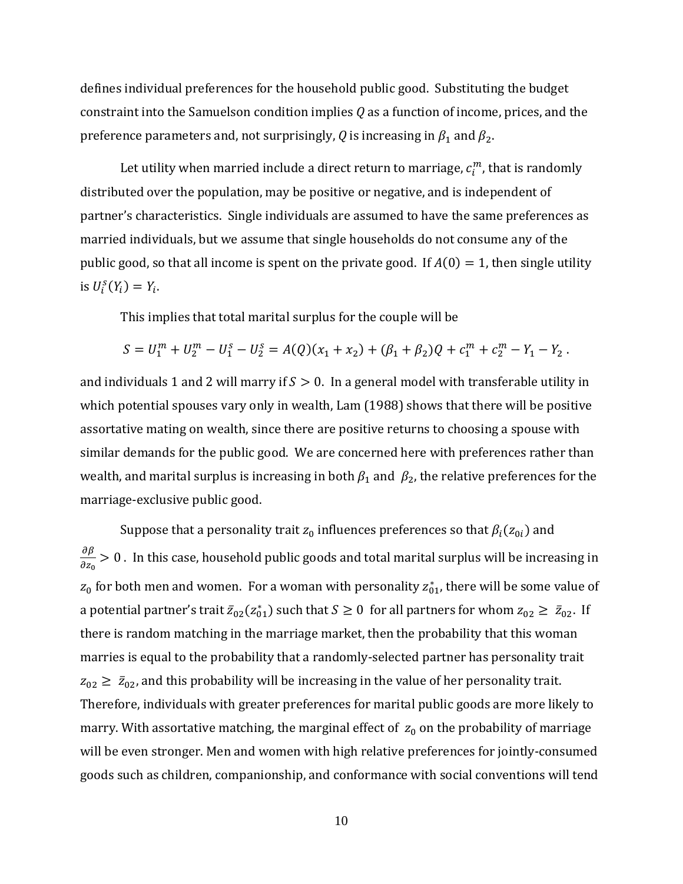defines individual preferences for the household public good. Substituting the budget constraint into the Samuelson condition implies *Q* as a function of income, prices, and the preference parameters and, not surprisingly, *Q* is increasing in  $\beta_1$  and  $\beta_2$ .

Let utility when married include a direct return to marriage,  $c_{i}^{m}$ , that is randomly distributed over the population, may be positive or negative, and is independent of partner's characteristics. Single individuals are assumed to have the same preferences as married individuals, but we assume that single households do not consume any of the public good, so that all income is spent on the private good. If  $A(0) = 1$ , then single utility is  $U_i^s(Y_i) = Y_i$ .

This implies that total marital surplus for the couple will be

$$
S = U_1^m + U_2^m - U_1^s - U_2^s = A(Q)(x_1 + x_2) + (\beta_1 + \beta_2)Q + c_1^m + c_2^m - Y_1 - Y_2.
$$

and individuals 1 and 2 will marry if  $S > 0$ . In a general model with transferable utility in which potential spouses vary only in wealth, Lam (1988) shows that there will be positive assortative mating on wealth, since there are positive returns to choosing a spouse with similar demands for the public good. We are concerned here with preferences rather than wealth, and marital surplus is increasing in both  $\beta_1$  and  $\beta_2$ , the relative preferences for the marriag e‐exclusive public good.

Suppose that a personality trait  $z_0$  influences preferences so that  $\beta_i(z_{0i})$  and  $\partial \beta$  $\frac{\partial p}{\partial z_0} > 0$  . In this case, household public goods and total marital surplus will be increasing in  $z_0$  for both men and women. For a woman with personality  $z_{01}^*$ , there will be some value of a potential partner's trait  $\bar{z}_{02}(z_{01}^*)$  such that  $S \ge 0$  for all partners for whom  $z_{02} \ge \bar{z}_{02}$ . If there is random matching in the marriage market, then the probability that this woman marries is equal to the probability that a randomly-selected partner has personality trait  $z_{02} \geq \bar{z}_{02}$ , and this probability will be increasing in the value of her personality trait. Therefore, individuals with greater preferences for marital public goods are more likely to marry. With assortative matching, the marginal effect of  $z_0$  on the probability of marriage will be even stronger. Men and women with high relative preferences for jointly‐consumed goods such as children, companionship, and conformance with social conventions will tend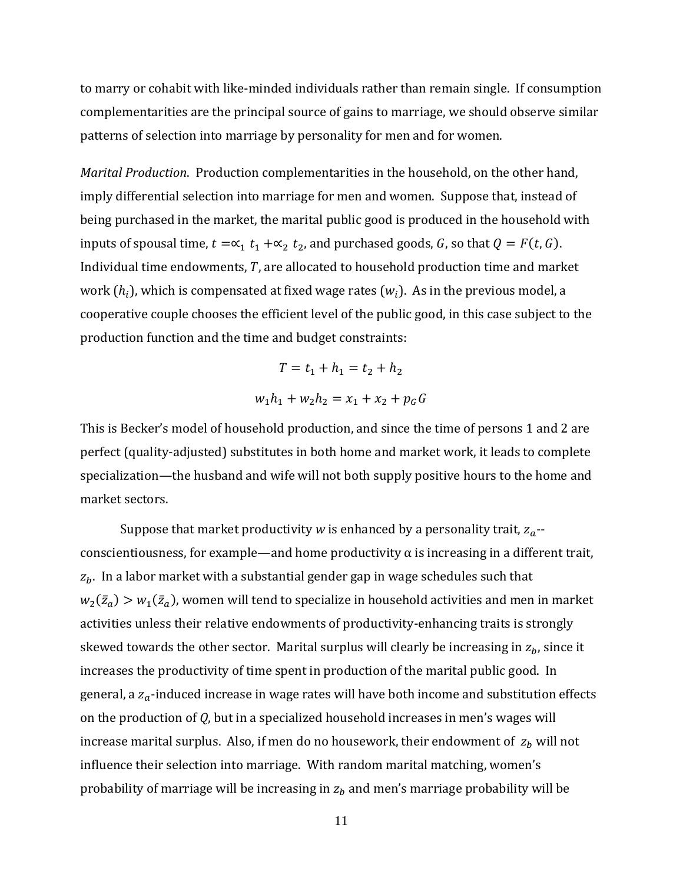to marry or cohabit with like‐minded individuals rather than remain single. If consumption complementarities are the principal source of gains to marriage, we should observe similar patterns of selection into marriage by personality for men and for women.

*Marital Production*. Production complementarities in the household, on the other hand, imply differential selection into marriage for men and women. Suppose that, instead of being purchased in the market, the marital public good is produced in the household with inputs of spousal time,  $t = \alpha_1 t_1 + \alpha_2 t_2$ , and purchased goods, G, so that  $Q = F(t, G)$ . Individual time endowments,  $T$ , are allocated to household production time and market work  $(h_i)$ , which is compensated at fixed wage rates  $(w_i)$ . As in the previous model, a cooperative couple chooses the efficient level of the public good, in this case subject to the production function and the time and budget constraints:

$$
T = t_1 + h_1 = t_2 + h_2
$$
  

$$
w_1h_1 + w_2h_2 = x_1 + x_2 + p_GG
$$

market sectors. This is Becker's model of household production, and since the time of persons 1 and 2 are perfect (quality‐adjusted) substitutes in both home and market work, it leads to complete specialization—the husband and wife will not both supply positive hours to the home and

Suppose that market productivity *w* is enhanced by a personality trait,  $z_a$ -conscientiousness, for example—and home productivity  $\alpha$  is increasing in a different trait,  $z<sub>b</sub>$ . In a labor market with a substantial gender gap in wage schedules such that  $w_2(\bar{z}_a) > w_1(\bar{z}_a)$ , women will tend to specialize in household activities and men in market activities unless their relative endowments of productivity-enhancing traits is strongly skewed towards the other sector. Marital surplus will clearly be increasing in  $z_b$ , since it increases the productivity of time spent in production of the marital public good. In general, a  $z_a$ -induced increase in wage rates will have both income and substitution effects on the production of *Q*, but in a specialized household increases in men's wages will increase marital surplus. Also, if men do no housework, their endowment of  $z_b$  will not influence their selection into marriage. With random marital matching, women's probability of marriage will be increasing in  $z<sub>b</sub>$  and men's marriage probability will be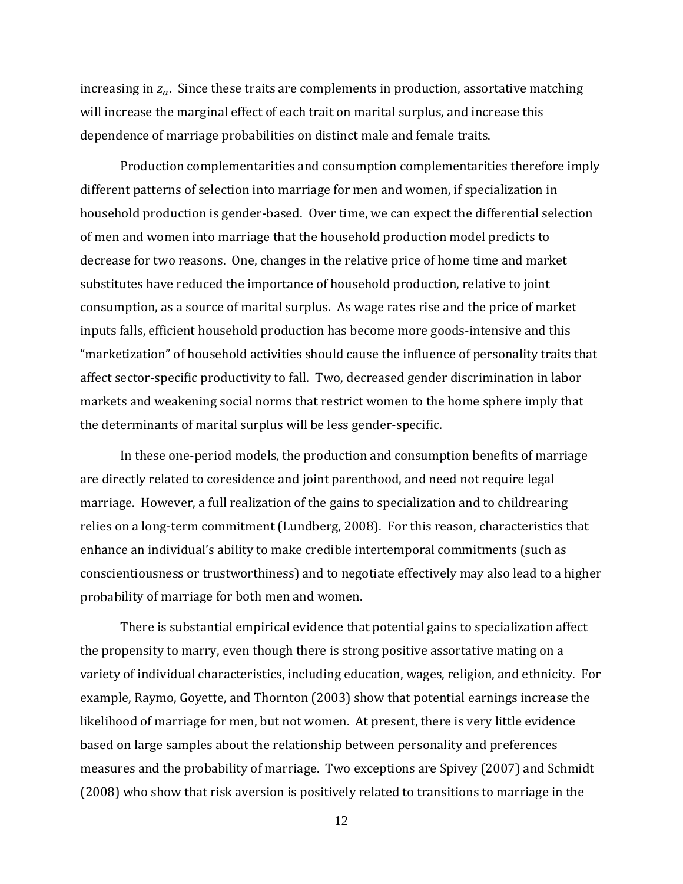increasing in  $z_a$ . Since these traits are complements in production, assortative matching will increase the marginal effect of each trait on marital surplus, and increase this dependence of marriage probabilities on distinct male and female traits.

Production complementarities and consumption complementarities therefore imply different patterns of selection into marriage for men and women, if specialization in household production is gender‐based. Over time, we can expect the differential selection of men and women into marriage that the household production model predicts to decrease for two reasons. One, changes in the relative price of home time and market substitutes have reduced the importance of household production, relative to joint consumption, as a source of marital surplus. As wage rates rise and the price of market inputs falls, efficient household production has become more goods‐intensive and this "marketization" of household activities should cause the influence of personality traits that affect sector‐specific productivity to fall. Two, decreased gender discrimination in labor markets and weakening social norms that restrict women to the home sphere imply that the determinants of marital surplus will be less gender‐specific.

probability of marriage for both men and women. In these one‐period models, the production and consumption benefits of marriage are directly related to coresidence and joint parenthood, and need not require legal marriage. However, a full realization of the gains to specialization and to childrearing relies on a long‐term commitment (Lundberg, 2008). For this reason, characteristics that enhance an individual's ability to make credible intertemporal commitments (such as conscientiousness or trustworthiness) and to negotiate effectively may also lead to a higher

There is substantial empirical evidence that potential gains to specialization affect the propensity to marry, even though there is strong positive assortative mating on a variety of individual characteristics, including education, wages, religion, and ethnicity. For example, Raymo, Goyette, and Thornton (2003) show that potential earnings increase the likelihood of marriage for men, but not women. At present, there is very little evidence based on large samples about the relationship between personality and preferences measures and the probability of marriage. Two exceptions are Spivey (2007) and Schmidt (2008) who show that risk aversion is positively related to transitions to marriage in the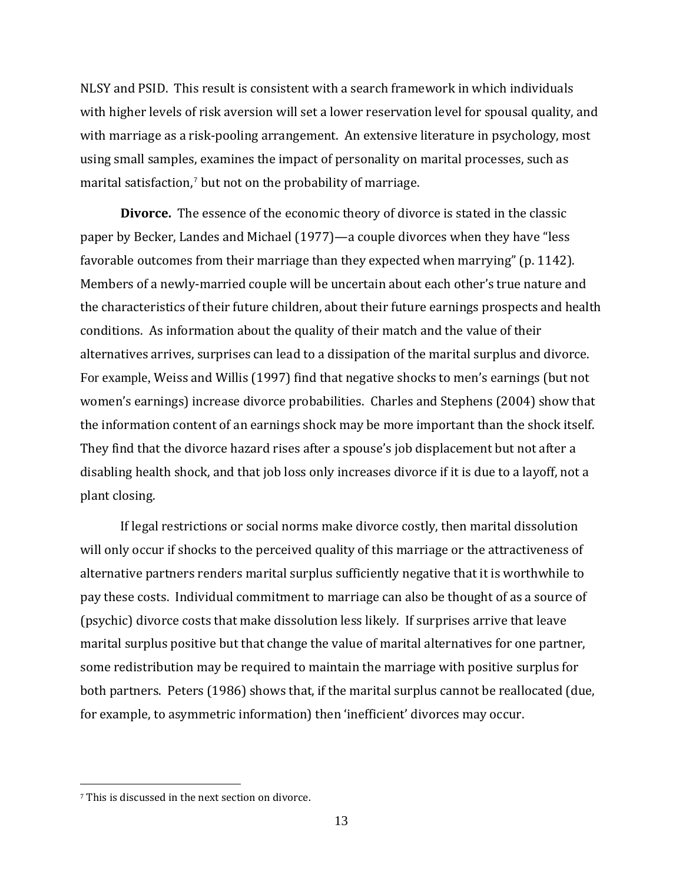NLSY and PSID. This result is consistent with a search framework in which individuals with higher levels of risk aversion will set a lower reservation level for spousal quality, and with marriage as a risk-pooling arrangement. An extensive literature in psychology, most using small samples, examines the impact of personality on marital processes, such as marital satisfaction,<sup>7</sup> but not on the probability of marriage.

**Divorce.** The essence of the economic theory of divorce is stated in the classic paper by Becker, Landes and Michael (1977)—a couple divorces when they have "less favorable outcomes from their marriage than they expected when marrying" (p. 1142). Members of a newly‐married couple will be uncertain about each other's true nature and the characteristics of their future children, about their future earnings prospects and health conditions. As information about the quality of their match and the value of their alternatives arrives, surprises can lead to a dissipation of the marital surplus and divorce. For example, Weiss and Willis (1997) find that negative shocks to men's earnings (but not women's earnings) increase divorce probabilities. Charles and Stephens (2004) show that the information content of an earnings shock may be more important than the shock itself. They find that the divorce hazard rises after a spouse's job displacement but not after a disabling health shock, and that job loss only increases divorce if it is due to a layoff, not a plant closing.

If legal restrictions or social norms make divorce costly, then marital dissolution will only occur if shocks to the perceived quality of this marriage or the attractiveness of alternative partners renders marital surplus sufficiently negative that it is worthwhile to pay these costs. Individual commitment to marriage can also be thought of as a source of (psychic) divorce costs that make dissolution less likely. If surprises arrive that leave marital surplus positive but that change the value of marital alternatives for one partner, some redistribution may be required to maintain the marriage with positive surplus for both partners. Peters (1986) shows that, if the marital surplus cannot be reallocated (due, for example, to asymmetric information) then 'inefficient' divorces may occur.

 $\overline{a}$ 

<sup>7</sup> This is discussed in the next section on divorce.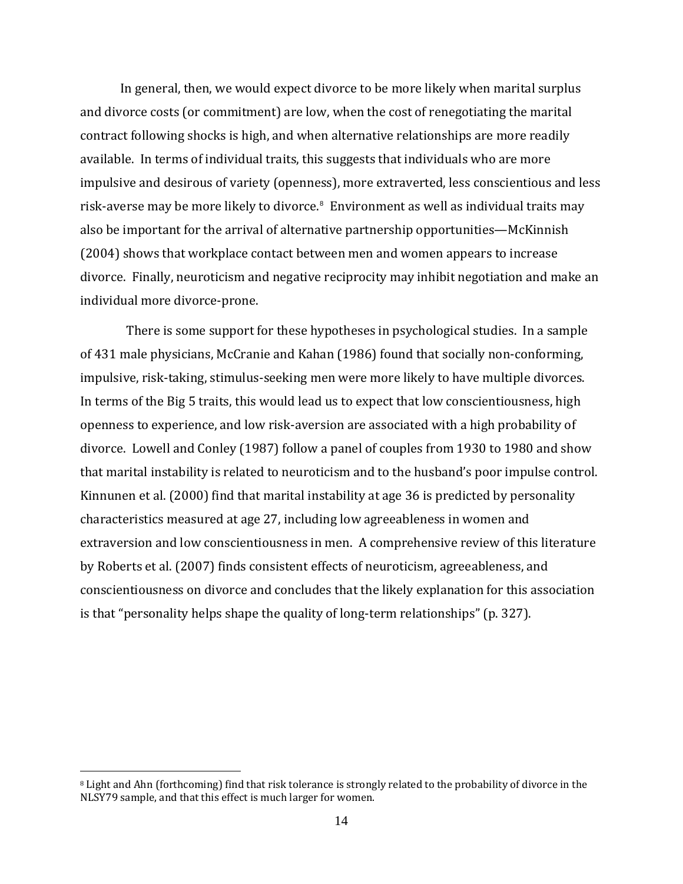<span id="page-14-0"></span>In general, then, we would expect divorce to be more likely when marital surplus and divorce costs (or commitment) are low, when the cost of renegotiating the marital contract following shocks is high, and when alternative relationships are more readily available. In terms of individual traits, this suggests that individuals who are more impulsive and desirous of variety (openness), more extraverted, less conscientious and less risk-averse may be more likely to divorce.<sup>[8](#page-14-0)</sup> Environment as well as individual traits may also be important for the arrival of alternative partnership opportunities—McKinnish (2004) shows that workplace contact between men and women appears to increase divorce. Finally, neuroticism and negative reciprocity may inhibit negotiation and make an individual more divorce‐prone.

 There is some support for these hypotheses in psychological studies. In a sample of 431 male physicians, McCranie and Kahan (1986) found that socially non‐conforming, impulsive, risk-taking, stimulus-seeking men were more likely to have multiple divorces. In terms of the Big 5 traits, this would lead us to expect that low conscientiousness, high openness to experience, and low risk‐aversion are associated with a high probability of divorce. Lowell and Conley (1987) follow a panel of couples from 1930 to 1980 and show that marital instability is related to neuroticism and to the husband's poor impulse control. Kinnunen et al. (2000) find that marital instability at age 36 is predicted by personality characteristics measured at age 27, including low agreeableness in women and extraversion and low conscientiousness in men. A comprehensive review of this literature by Roberts et al. (2007) finds consistent effects of neuroticism, agreeableness, and conscientiousness on divorce and concludes that the likely explanation for this association is that "personality helps shape the quality of long‐term relationships" (p. 327).

 $\overline{a}$ 

<sup>8</sup> Light and Ahn (forthcoming) find that risk tolerance is strongly related to the probability of divorce in the NLSY79 sample, and that this effect is much larger for women.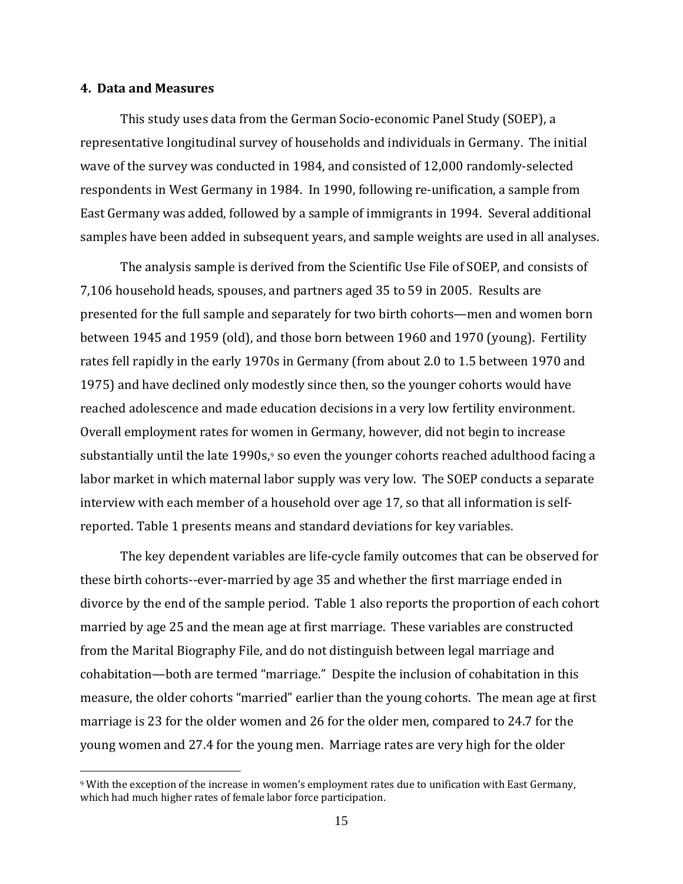#### <span id="page-15-0"></span>**4. Data and Measures**

 $\overline{a}$ 

This study uses data from the German Socio‐economic Panel Study (SOEP), a representative longitudinal survey of households and individuals in Germany. The initial wave of the survey was conducted in 1984, and consisted of 12,000 randomly-selected respondents in West Germany in 1984. In 1990, following re-unification, a sample from East Germany was added, followed by a sample of immigrants in 1994. Several additional samples have been added in subsequent years, and sample weights are used in all analyses.

The analysis sample is derived from the Scientific Use File of SOEP, and consists of 7,106 household heads, spouses, and partners aged 35 to 59 in 2005. Results are presented for the full sample and separately for two birth cohorts—men and women born between 1945 and 1959 (old), and those born between 1960 and 1970 (young). Fertility rates fell rapidly in the early 1970s in Germany (from about 2.0 to 1.5 between 1970 and 1975) and have declined only modestly since then, so the younger cohorts would have reached adolescence and made education decisions in a very low fertility environment. Overall employment rates for women in Germany, however, did not begin to increase substantially until the late 1[9](#page-15-0)90s, $9$  so even the younger cohorts reached adulthood facing a labor market in which maternal labor supply was very low. The SOEP conducts a separate interview with each member of a household over age 17, so that all information is self‐ reported. Table 1 presents means and standard deviations for key variables.

The key dependent variables are life‐cycle family outcomes that can be observed for these birth cohorts‐‐ever‐married by age 35 and whether the first marriage ended in divorce by the end of the sample period. Table 1 also reports the proportion of each cohort married by age 25 and the mean age at first marriage. These variables are constructed from the Marital Biography File, and do not distinguish between legal marriage and cohabitation—both are termed "marriage." Despite the inclusion of cohabitation in this measure, the older cohorts "married" earlier than the young cohorts. The mean age at first marriage is 23 for the older women and 26 for the older men, compared to 24.7 for the young women and 27.4 for the young men. Marriage rates are very high for the older

<sup>9</sup> With the exception of the increase in women's employment rates due to unification with East Germany, which had much higher rates of female labor force participation.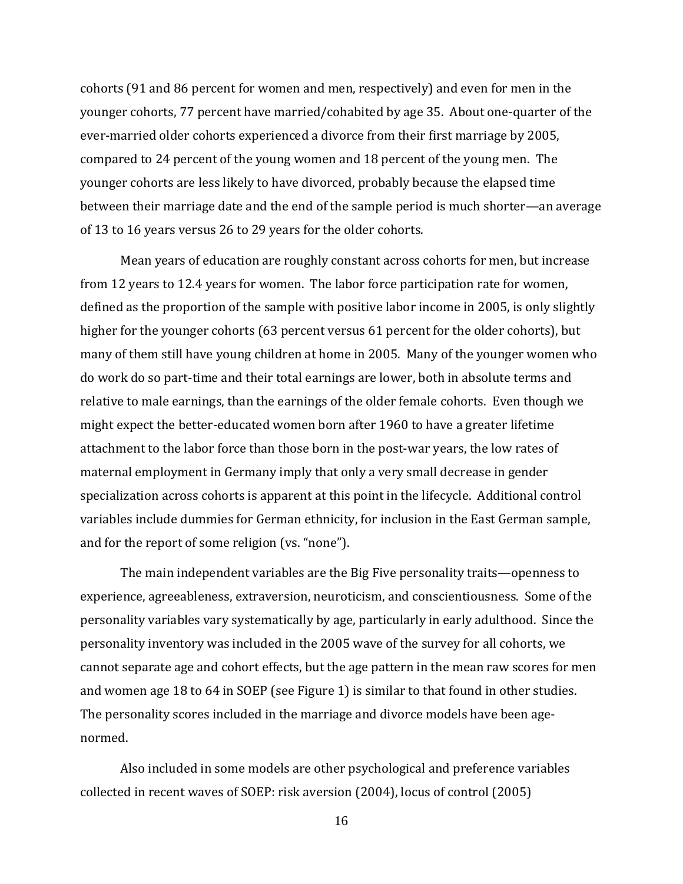cohorts (91 and 86 percent for women and men, respectively) and even for men in the younger cohorts, 77 percent have married/cohabited by age 35. About one‐quarter of the ever‐married older cohorts experienced a divorce from their first marriage by 2005, compared to 24 percent of the young women and 18 percent of the young men. The younger cohorts are less likely to have divorced, probably because the elapsed time between their marriage date and the end of the sample period is much shorter—an average of 13 to 16 years versus 26 to 29 years for the older cohorts.

Mean years of education are roughly constant across cohorts for men, but increase from 12 years to 12.4 years for women. The labor force participation rate for women, defined as the proportion of the sample with positive labor income in 2005, is only slightly higher for the younger cohorts (63 percent versus 61 percent for the older cohorts), but many of them still have young children at home in 2005. Many of the younger women who do work do so part‐time and their total earnings are lower, both in absolute terms and relative to male earnings, than the earnings of the older female cohorts. Even though we might expect the better‐educated women born after 1960 to have a greater lifetime attachment to the labor force than those born in the post‐war years, the low rates of maternal employment in Germany imply that only a very small decrease in gender specialization across cohorts is apparent at this point in the lifecycle. Additional control variables include dummies for German ethnicity, for inclusion in the East German sample, and for the report of some religion (vs. "none").

. normedThe main independent variables are the Big Five personality traits—openness to experience, agreeableness, extraversion, neuroticism, and conscientiousness. Some of the personality variables vary systematically by age, particularly in early adulthood. Since the personality inventory was included in the 2005 wave of the survey for all cohorts, we cannot separate age and cohort effects, but the age pattern in the mean raw scores for men and women age 18 to 64 in SOEP (see Figure 1) is similar to that found in other studies. The personality scores included in the marriage and divorce models have been age-

Also included in some models are other psychological and preference variables collected in recent waves of SOEP: risk aversion (2004), locus of control (2005)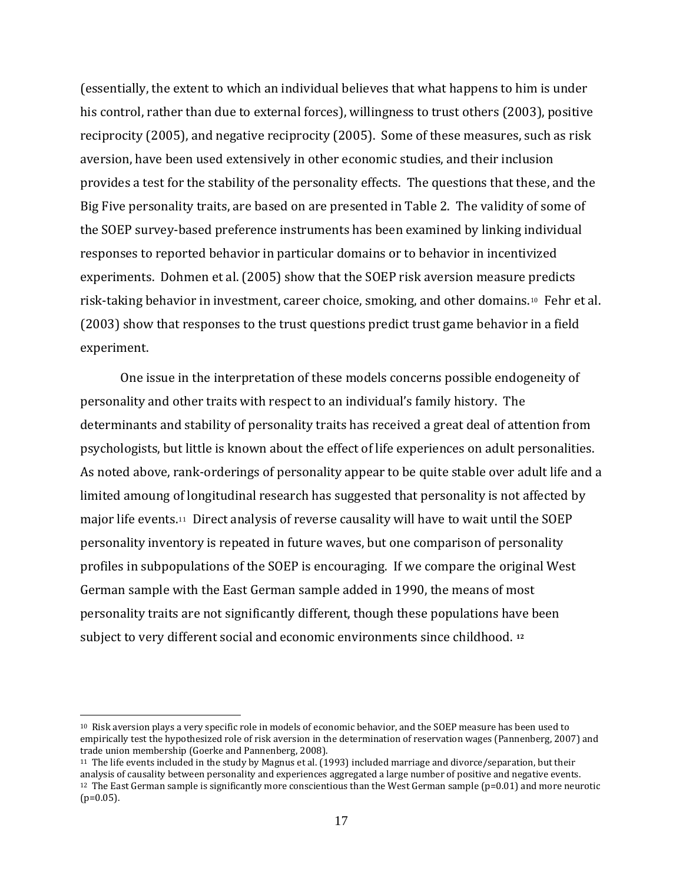<span id="page-17-0"></span>(essentially, the extent to which an individual believes that what happens to him is under his control, rather than due to external forces), willingness to trust others (2003), positive reciprocity (2005), and negative reciprocity (2005). Some of these measures, such as risk aversion, have been used extensively in other economic studies, and their inclusion provides a test for the stability of the personality effects. The questions that these, and the Big Five personality traits, are based on are presented in Table 2. The validity of some of the SOEP survey‐based preference instruments has been examined by linking individual responses to reported behavior in particular domains or to behavior in incentivized experiments. Dohmen et al. (2005) show that the SOEP risk aversion measure predicts risk-taking behavior in investment, career choice, smoking, and other domains.<sup>[10](#page-17-0)</sup> Fehr et al. (2003) show that responses to the trust questions predict trust game behavior in a field experiment.

One issue in the interpretation of these models concerns possible endogeneity of personality and other traits with respect to an individual's family history. The determinants and stability of personality traits has received a great deal of attention from psychologists, but little is known about the effect of life experiences on adult personalities. As noted above, rank‐orderings of personality appear to be quite stable over adult life and a limited amoung of longitudinal research has suggested that personality is not affected by major life events.[11](#page-17-0) Direct analysis of reverse causality will have to wait until the SOEP personality inventory is repeated in future waves, but one comparison of personality profiles in subpopulations of the SOEP is encouraging. If we compare the original West German sample with the East German sample added in 1990, the means of most personality traits are not significantly different, though these populations have been subject to very different social and economic environments since childhood. **[12](#page-17-0)**

 $\overline{a}$ 

<sup>10</sup> Risk aversion plays a very specific role in models of economic behavior, and the SOEP measure has been used to empirically test the hypothesized role of risk aversion in the determination of reservation wages (Pannenberg, 2007) and trade union membership (Goerke and Pannenberg, 2008).

<sup>11</sup> The life events included in the study by Magnus et al. (1993) included marriage and divorce/separation, but their analysis of causality between personality and experiences aggregated a large number of positive and negative events. 12 The East German sample is significantly more conscientious than the West German sample (p=0.01) and more neurotic  $(p=0.05)$ .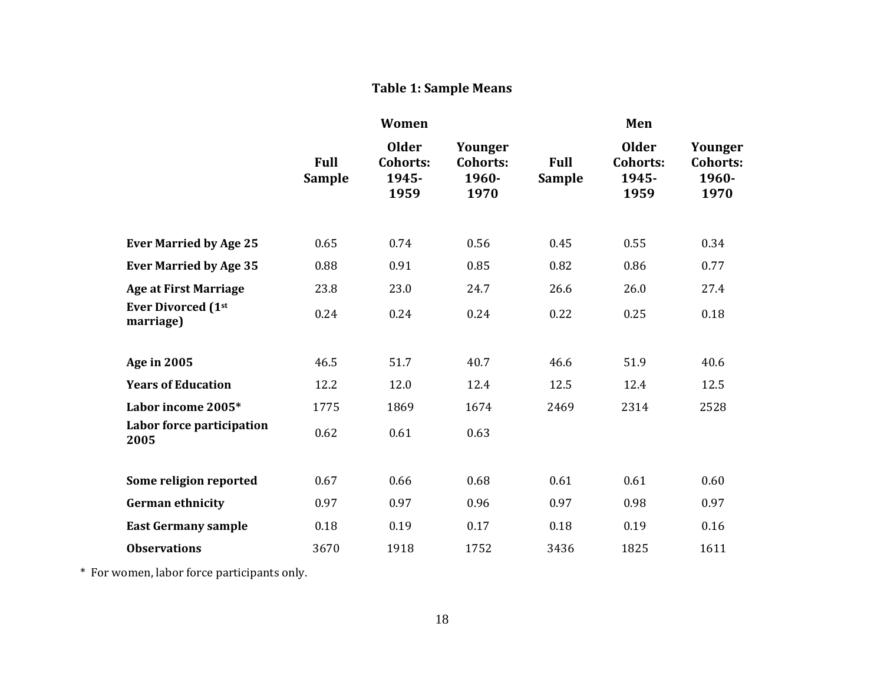#### **Table 1: Sample Means**

|                                        | Women                        |                                                  |                                             | Men                          |                                                  |                                             |  |
|----------------------------------------|------------------------------|--------------------------------------------------|---------------------------------------------|------------------------------|--------------------------------------------------|---------------------------------------------|--|
|                                        | <b>Full</b><br><b>Sample</b> | <b>Older</b><br><b>Cohorts:</b><br>1945-<br>1959 | Younger<br><b>Cohorts:</b><br>1960-<br>1970 | <b>Full</b><br><b>Sample</b> | <b>Older</b><br><b>Cohorts:</b><br>1945-<br>1959 | Younger<br><b>Cohorts:</b><br>1960-<br>1970 |  |
| <b>Ever Married by Age 25</b>          | 0.65                         | 0.74                                             | 0.56                                        | 0.45                         | 0.55                                             | 0.34                                        |  |
| <b>Ever Married by Age 35</b>          | 0.88                         | 0.91                                             | 0.85                                        | 0.82                         | 0.86                                             | 0.77                                        |  |
| <b>Age at First Marriage</b>           | 23.8                         | 23.0                                             | 24.7                                        | 26.6                         | 26.0                                             | 27.4                                        |  |
| <b>Ever Divorced (1st</b><br>marriage) | 0.24                         | 0.24                                             | 0.24                                        | 0.22                         | 0.25                                             | 0.18                                        |  |
| <b>Age in 2005</b>                     | 46.5                         | 51.7                                             | 40.7                                        | 46.6                         | 51.9                                             | 40.6                                        |  |
| <b>Years of Education</b>              | 12.2                         | 12.0                                             | 12.4                                        | 12.5                         | 12.4                                             | 12.5                                        |  |
| Labor income 2005*                     | 1775                         | 1869                                             | 1674                                        | 2469                         | 2314                                             | 2528                                        |  |
| Labor force participation<br>2005      | 0.62                         | 0.61                                             | 0.63                                        |                              |                                                  |                                             |  |
| Some religion reported                 | 0.67                         | 0.66                                             | 0.68                                        | 0.61                         | 0.61                                             | 0.60                                        |  |
| <b>German ethnicity</b>                | 0.97                         | 0.97                                             | 0.96                                        | 0.97                         | 0.98                                             | 0.97                                        |  |
| <b>East Germany sample</b>             | 0.18                         | 0.19                                             | 0.17                                        | 0.18                         | 0.19                                             | 0.16                                        |  |
| <b>Observations</b>                    | 3670                         | 1918                                             | 1752                                        | 3436                         | 1825                                             | 1611                                        |  |

\* For women, labor force participants only.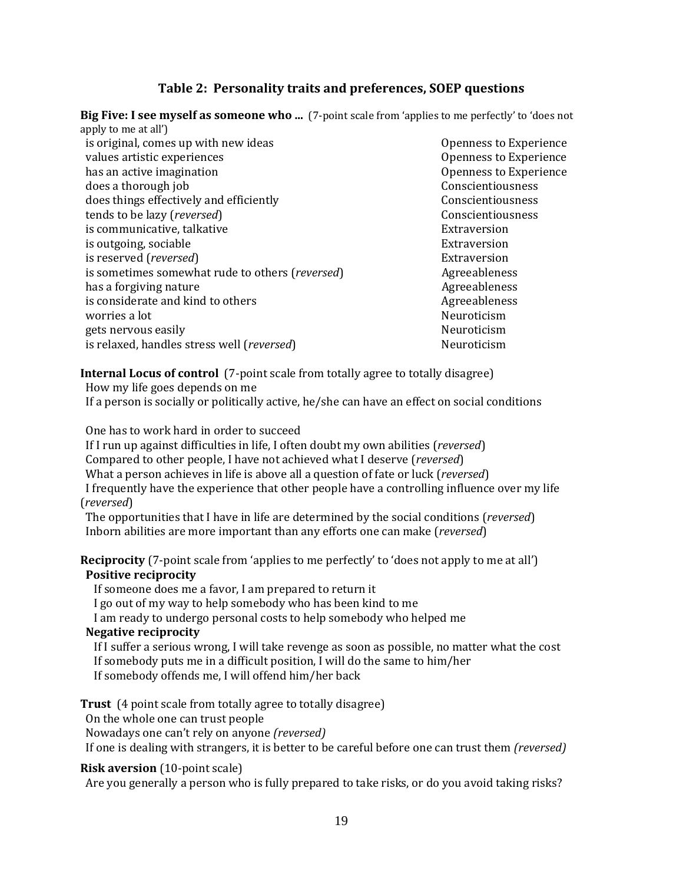## **Table 2: Personality traits and preferences, SOEP questions**

**Big Five: I see myself as someone who ...** (7‐point scale from 'applies to me perfectly' to 'does not apply to me at all')

| $\mathbf{F}$ $\mathbf{F}$ $\mathbf{F}$ $\mathbf{F}$ $\mathbf{F}$ $\mathbf{F}$ $\mathbf{F}$ $\mathbf{F}$ $\mathbf{F}$ $\mathbf{F}$ $\mathbf{F}$ $\mathbf{F}$ $\mathbf{F}$ $\mathbf{F}$ $\mathbf{F}$ $\mathbf{F}$ $\mathbf{F}$ $\mathbf{F}$ $\mathbf{F}$ $\mathbf{F}$ $\mathbf{F}$ $\mathbf{F}$ $\mathbf{F}$ $\mathbf{F}$ $\mathbf{$ |
|------------------------------------------------------------------------------------------------------------------------------------------------------------------------------------------------------------------------------------------------------------------------------------------------------------------------------------|
| is original, comes up with new ideas                                                                                                                                                                                                                                                                                               |
| values artistic experiences                                                                                                                                                                                                                                                                                                        |
| has an active imagination                                                                                                                                                                                                                                                                                                          |
| does a thorough job                                                                                                                                                                                                                                                                                                                |
| does things effectively and efficiently                                                                                                                                                                                                                                                                                            |
| tends to be lazy (reversed)                                                                                                                                                                                                                                                                                                        |
| is communicative, talkative                                                                                                                                                                                                                                                                                                        |
| is outgoing, sociable                                                                                                                                                                                                                                                                                                              |
| is reserved (reversed)                                                                                                                                                                                                                                                                                                             |
| is sometimes somewhat rude to others (reversed)                                                                                                                                                                                                                                                                                    |
| has a forgiving nature                                                                                                                                                                                                                                                                                                             |
| is considerate and kind to others                                                                                                                                                                                                                                                                                                  |
| worries a lot                                                                                                                                                                                                                                                                                                                      |
| gets nervous easily                                                                                                                                                                                                                                                                                                                |
| is relaxed, handles stress well (reversed)                                                                                                                                                                                                                                                                                         |

Openness to Experience Openness to Experience Openness to Experience Conscientiousness Conscientiousness  $Conscientiousness$ Extraversion Extraversion Extraversion Agreeableness Agreeableness Agreeableness Neuroticism Neuroticism Neuroticism

**Internal Locus of control** (7‐point scale from totally agree to totally disagree)

 How my life goes depends on me If a person is socially or politically active, he/she can have an effect on social conditions

One has to work hard in order to succeed

If I run up against difficulties in life, I often doubt my own abilities (*reversed*) Compared to other people, I have not achieved what I deserve (*reversed*) What a person achieves in life is above all a question of fate or luck (*reversed*) I frequently have the experience that other people have a controlling influence over my life

The opportunities that I have in life are determined by the social conditions (*reversed*) (*reversed*) Inborn abilities are more important than any efforts one can make (*reversed*)

**Reciprocity** (7‐point scale from 'applies to me perfectly' to 'does not apply to me at all') **Positive reciprocity**

If someone does me a favor, I am prepared to return it

I go out of my way to help somebody who has been kind to me

I am ready to undergo personal costs to help somebody who helped me

### **Negative reciprocity**

 If I suffer a serious wrong, I will take revenge as soon as possible, no matter what the cost If somebody puts me in a difficult position, I will do the same to him/her If somebody offends me, I will offend him/her back

**Trust** (4 point scale from totally agree to totally disagree)

On the whole one can trust people

Nowadays one can't rely on anyone *(reversed)*

If one is dealing with strangers, it is better to be careful before one can trust them *(reversed)* 

## **Risk aversion** (10‐point scale)

Are you generally a person who is fully prepared to take risks, or do you avoid taking risks?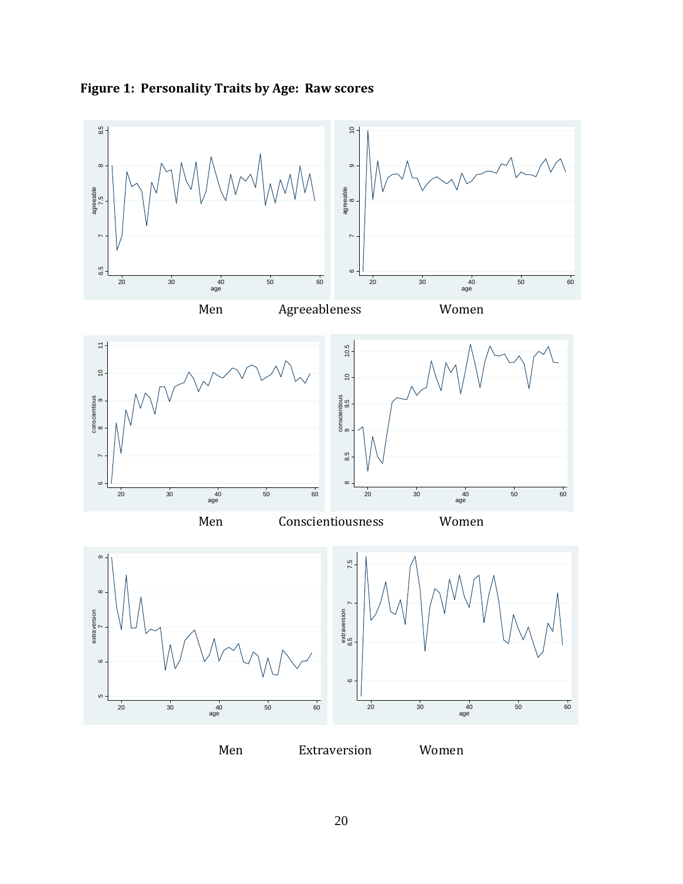

# **Figure 1: Personality Traits by Age: Raw scores**

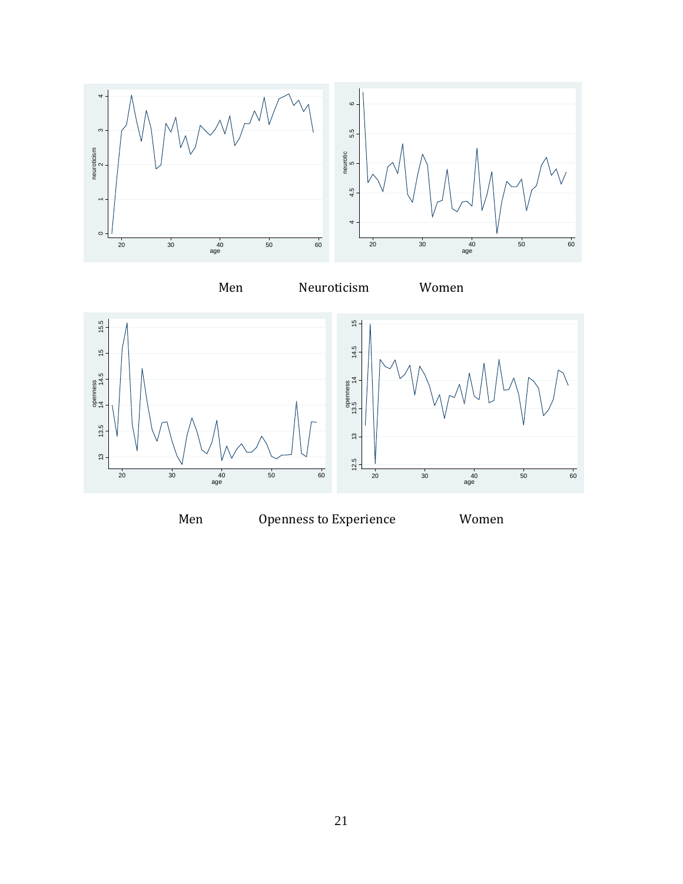









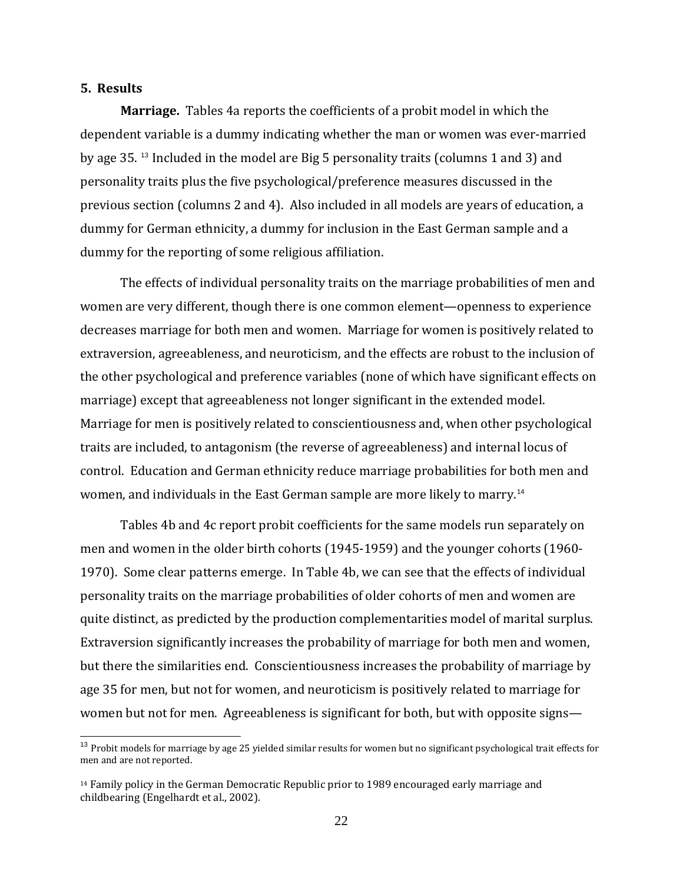## <span id="page-22-0"></span>**5. Results**

 $\overline{a}$ 

**Marriage.** Tables 4a reports the coefficients of a probit model in which the dependent variable is a dummy indicating whether the man or women was ever-married by age 35. [13](#page-22-0) Included in the model are Big 5 personality traits (columns 1 and 3) and personality traits plus the five psychological/preference measures discussed in the previous section (columns 2 and 4). Also included in all models are years of education, a dummy for German ethnicity, a dummy for inclusion in the East German sample and a dummy for the reporting of some religious affiliation.

The effects of individual personality traits on the marriage probabilities of men and women are very different, though there is one common element—openness to experience decreases marriage for both men and women. Marriage for women is positively related to extraversion, agreeableness, and neuroticism, and the effects are robust to the inclusion of the other psychological and preference variables (none of which have significant effects on marriage) except that agreeableness not longer significant in the extended model. Marriage for men is positively related to conscientiousness and, when other psychological traits are included, to antagonism (the reverse of agreeableness) and internal locus of control. Education and German ethnicity reduce marriage probabilities for both men and women, and individuals in the East German sample are more likely to marry.<sup>14</sup>

Tables 4b and 4c report probit coefficients for the same models run separately on men and women in the older birth cohorts (1945‐1959) and the younger cohorts (1960‐ 1970). Some clear patterns emerge. In Table 4b, we can see that the effects of individual personality traits on the marriage probabilities of older cohorts of men and women are quite distinct, as predicted by the production complementarities model of marital surplus. Extraversion significantly increases the probability of marriage for both men and women, but there the similarities end. Conscientiousness increases the probability of marriage by age 35 for men, but not for women, and neuroticism is positively related to marriage for women but not for men. Agreeableness is significant for both, but with opposite signs—

<sup>&</sup>lt;sup>13</sup> Probit models for marriage by age 25 yielded similar results for women but no significant psychological trait effects for m en and are not reported.

<sup>14</sup> Family policy in the German Democratic Republic prior to 1989 encouraged early marriage and childbearing (Engelhardt et al., 2002).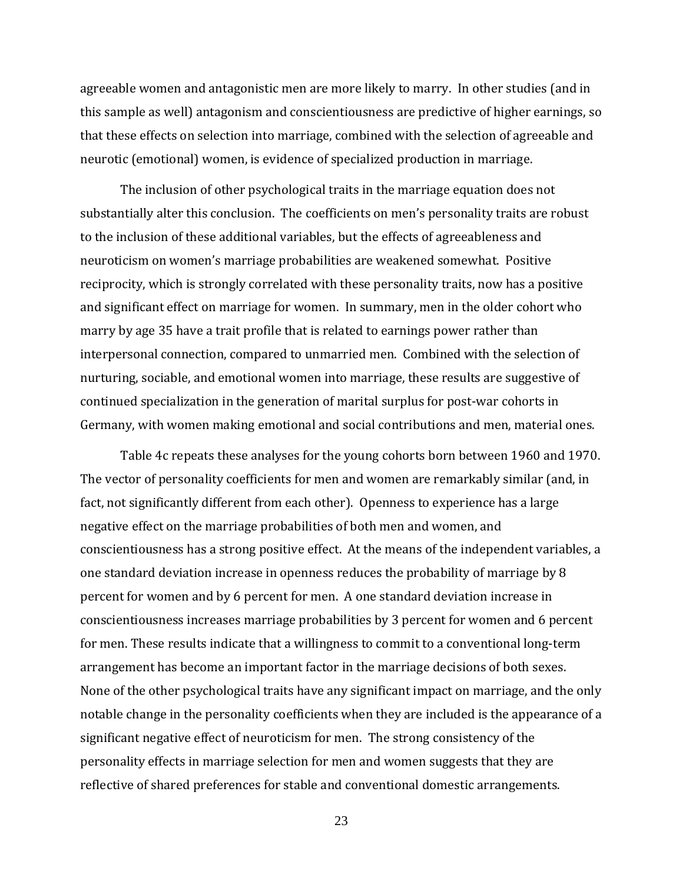agreeable women and antagonistic men are more likely to marry. In other studies (and in this sample as well) antagonism and conscientiousness are predictive of higher earnings, so that these effects on selection into marriage, combined with the selection of agreeable and neurotic (emotional) women, is evidence of specialized production in marriage.

Germany, with women making emotional and social contributions and men, material ones. The inclusion of other psychological traits in the marriage equation does not substantially alter this conclusion. The coefficients on men's personality traits are robust to the inclusion of these additional variables, but the effects of agreeableness and neuroticism on women's marriage probabilities are weakened somewhat. Positive reciprocity, which is strongly correlated with these personality traits, now has a positive and significant effect on marriage for women. In summary, men in the older cohort who marry by age 35 have a trait profile that is related to earnings power rather than interpersonal connection, compared to unmarried men. Combined with the selection of nurturing, sociable, and emotional women into marriage, these results are suggestive of continued specialization in the generation of marital surplus for post‐war cohorts in

Table 4c repeats these analyses for the young cohorts born between 1960 and 1970. The vector of personality coefficients for men and women are remarkably similar (and, in fact, not significantly different from each other). Openness to experience has a large negative effect on the marriage probabilities of both men and women, and conscientiousness has a strong positive effect. At the means of the independent variables, a one standard deviation increase in openness reduces the probability of marriage by 8 percent for women and by 6 percent for men. A one standard deviation increase in conscientiousness increases marriage probabilities by 3 percent for women and 6 percent for men. These results indicate that a willingness to commit to a conventional long-term arrangement has become an important factor in the marriage decisions of both sexes. None of the other psychological traits have any significant impact on marriage, and the only notable change in the personality coefficients when they are included is the appearance of a significant negative effect of neuroticism for men. The strong consistency of the personality effects in marriage selection for men and women suggests that they are reflective of shared preferences for stable and conventional domestic arrangements.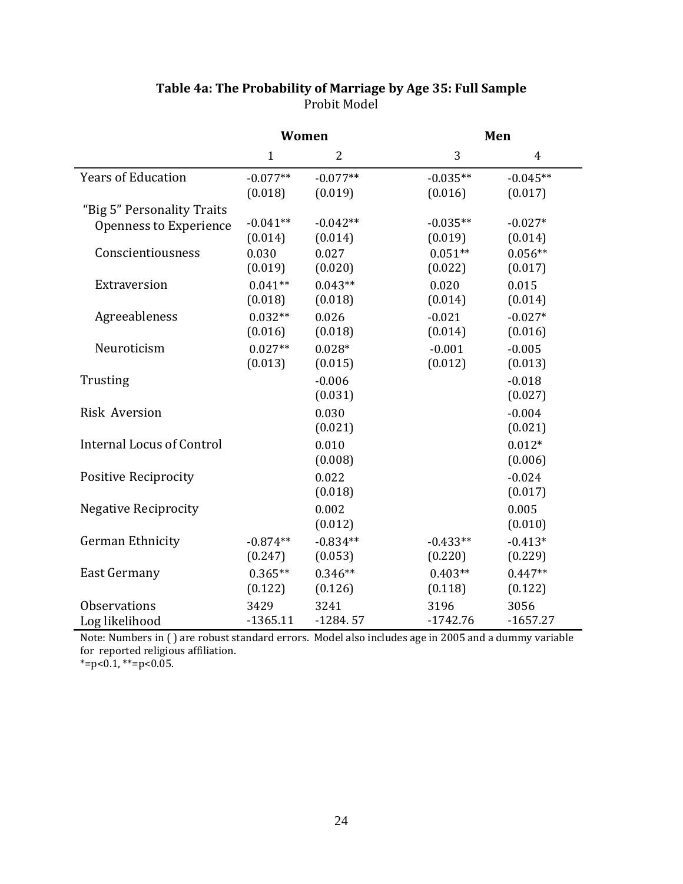|                                  | Women        |                |            | Men            |  |  |
|----------------------------------|--------------|----------------|------------|----------------|--|--|
|                                  | $\mathbf{1}$ | $\overline{2}$ | 3          | $\overline{4}$ |  |  |
| <b>Years of Education</b>        | $-0.077**$   | $-0.077**$     | $-0.035**$ | $-0.045**$     |  |  |
|                                  | (0.018)      | (0.019)        | (0.016)    | (0.017)        |  |  |
| "Big 5" Personality Traits       |              |                |            |                |  |  |
| Openness to Experience           | $-0.041**$   | $-0.042**$     | $-0.035**$ | $-0.027*$      |  |  |
|                                  | (0.014)      | (0.014)        | (0.019)    | (0.014)        |  |  |
| Conscientiousness                | 0.030        | 0.027          | $0.051**$  | $0.056**$      |  |  |
|                                  | (0.019)      | (0.020)        | (0.022)    | (0.017)        |  |  |
| Extraversion                     | $0.041**$    | $0.043**$      | 0.020      | 0.015          |  |  |
|                                  | (0.018)      | (0.018)        | (0.014)    | (0.014)        |  |  |
| Agreeableness                    | $0.032**$    | 0.026          | $-0.021$   | $-0.027*$      |  |  |
|                                  | (0.016)      | (0.018)        | (0.014)    | (0.016)        |  |  |
| Neuroticism                      | $0.027**$    | $0.028*$       | $-0.001$   | $-0.005$       |  |  |
|                                  | (0.013)      | (0.015)        | (0.012)    | (0.013)        |  |  |
| Trusting                         |              | $-0.006$       |            | $-0.018$       |  |  |
|                                  |              | (0.031)        |            | (0.027)        |  |  |
| <b>Risk Aversion</b>             |              | 0.030          |            | $-0.004$       |  |  |
|                                  |              | (0.021)        |            | (0.021)        |  |  |
| <b>Internal Locus of Control</b> |              | 0.010          |            | $0.012*$       |  |  |
|                                  |              | (0.008)        |            | (0.006)        |  |  |
| <b>Positive Reciprocity</b>      |              | 0.022          |            | $-0.024$       |  |  |
|                                  |              | (0.018)        |            | (0.017)        |  |  |
| <b>Negative Reciprocity</b>      |              | 0.002          |            | 0.005          |  |  |
|                                  |              | (0.012)        |            | (0.010)        |  |  |
| <b>German Ethnicity</b>          | $-0.874**$   | $-0.834**$     | $-0.433**$ | $-0.413*$      |  |  |
|                                  | (0.247)      | (0.053)        | (0.220)    | (0.229)        |  |  |
| <b>East Germany</b>              | $0.365**$    | $0.346**$      | $0.403**$  | $0.447**$      |  |  |
|                                  | (0.122)      | (0.126)        | (0.118)    | (0.122)        |  |  |
| <b>Observations</b>              | 3429         | 3241           | 3196       | 3056           |  |  |
| Log likelihood                   | $-1365.11$   | $-1284.57$     | $-1742.76$ | $-1657.27$     |  |  |

## **Table 4a: The Probability of Marriage by Age 35: Full Sample** Probit Model

Note: Numbers in ( ) or reported religiou are robust sta s affiliation. ndard errors. Model also includes age in 2005 and a dummy variable f

 $=p<0.1$ , \*\*=p<0.05. \*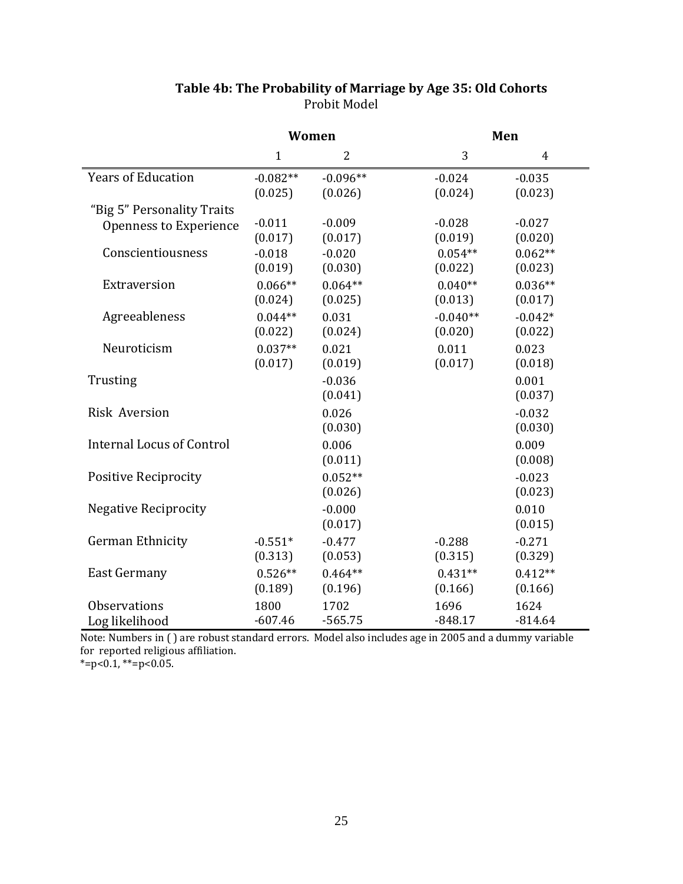|                                  | Women                 |                       |                       | Men                  |  |  |
|----------------------------------|-----------------------|-----------------------|-----------------------|----------------------|--|--|
|                                  | $\mathbf{1}$          | $\overline{2}$        | 3                     | $\overline{4}$       |  |  |
| <b>Years of Education</b>        | $-0.082**$<br>(0.025) | $-0.096**$<br>(0.026) | $-0.024$<br>(0.024)   | $-0.035$<br>(0.023)  |  |  |
| "Big 5" Personality Traits       |                       |                       |                       |                      |  |  |
| Openness to Experience           | $-0.011$              | $-0.009$              | $-0.028$              | $-0.027$             |  |  |
| Conscientiousness                | (0.017)<br>$-0.018$   | (0.017)<br>$-0.020$   | (0.019)<br>$0.054**$  | (0.020)<br>$0.062**$ |  |  |
|                                  | (0.019)               | (0.030)               | (0.022)               | (0.023)              |  |  |
| Extraversion                     | $0.066**$             | $0.064**$             | $0.040**$             | $0.036**$            |  |  |
|                                  | (0.024)               | (0.025)               | (0.013)               | (0.017)              |  |  |
| Agreeableness                    | $0.044**$<br>(0.022)  | 0.031<br>(0.024)      | $-0.040**$<br>(0.020) | $-0.042*$<br>(0.022) |  |  |
| Neuroticism                      | $0.037**$             | 0.021                 | 0.011                 | 0.023                |  |  |
|                                  | (0.017)               | (0.019)               | (0.017)               | (0.018)              |  |  |
| Trusting                         |                       | $-0.036$              |                       | 0.001                |  |  |
|                                  |                       | (0.041)               |                       | (0.037)              |  |  |
| <b>Risk Aversion</b>             |                       | 0.026                 |                       | $-0.032$             |  |  |
|                                  |                       | (0.030)               |                       | (0.030)              |  |  |
| <b>Internal Locus of Control</b> |                       | 0.006                 |                       | 0.009                |  |  |
|                                  |                       | (0.011)               |                       | (0.008)              |  |  |
| <b>Positive Reciprocity</b>      |                       | $0.052**$             |                       | $-0.023$             |  |  |
|                                  |                       | (0.026)               |                       | (0.023)              |  |  |
| <b>Negative Reciprocity</b>      |                       | $-0.000$              |                       | 0.010                |  |  |
|                                  |                       | (0.017)               |                       | (0.015)              |  |  |
| <b>German Ethnicity</b>          | $-0.551*$             | $-0.477$              | $-0.288$              | $-0.271$             |  |  |
|                                  | (0.313)               | (0.053)               | (0.315)               | (0.329)              |  |  |
| <b>East Germany</b>              | $0.526**$             | $0.464**$             | $0.431**$             | $0.412**$            |  |  |
|                                  | (0.189)               | (0.196)               | (0.166)               | (0.166)              |  |  |
| <b>Observations</b>              | 1800                  | 1702                  | 1696                  | 1624                 |  |  |
| Log likelihood                   | $-607.46$             | $-565.75$             | $-848.17$             | $-814.64$            |  |  |

# **Table 4b: The Probability of Marriage by Age 35: Old Cohorts** Probit Model

Note: Numbers in () are robust standard errors. Model also includes age in 2005 and a dummy variable for reported religiou s affiliation.

 $* = p < 0.1, ** = p < 0.05.$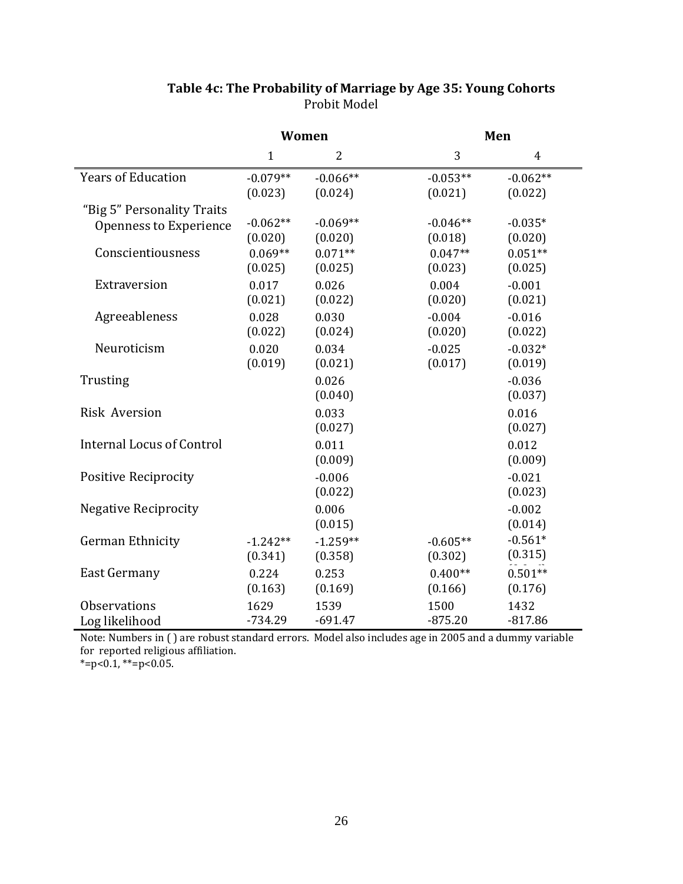|                                  | Women        |                |            | Men            |  |  |
|----------------------------------|--------------|----------------|------------|----------------|--|--|
|                                  | $\mathbf{1}$ | $\overline{2}$ | 3          | $\overline{4}$ |  |  |
| <b>Years of Education</b>        | $-0.079**$   | $-0.066**$     | $-0.053**$ | $-0.062**$     |  |  |
|                                  | (0.023)      | (0.024)        | (0.021)    | (0.022)        |  |  |
| "Big 5" Personality Traits       |              |                |            |                |  |  |
| <b>Openness to Experience</b>    | $-0.062**$   | $-0.069**$     | $-0.046**$ | $-0.035*$      |  |  |
|                                  | (0.020)      | (0.020)        | (0.018)    | (0.020)        |  |  |
| Conscientiousness                | $0.069**$    | $0.071**$      | $0.047**$  | $0.051**$      |  |  |
|                                  | (0.025)      | (0.025)        | (0.023)    | (0.025)        |  |  |
| Extraversion                     | 0.017        | 0.026          | 0.004      | $-0.001$       |  |  |
|                                  | (0.021)      | (0.022)        | (0.020)    | (0.021)        |  |  |
| Agreeableness                    | 0.028        | 0.030          | $-0.004$   | $-0.016$       |  |  |
|                                  | (0.022)      | (0.024)        | (0.020)    | (0.022)        |  |  |
| Neuroticism                      | 0.020        | 0.034          | $-0.025$   | $-0.032*$      |  |  |
|                                  | (0.019)      | (0.021)        | (0.017)    | (0.019)        |  |  |
| Trusting                         |              | 0.026          |            | $-0.036$       |  |  |
|                                  |              | (0.040)        |            | (0.037)        |  |  |
| <b>Risk Aversion</b>             |              | 0.033          |            | 0.016          |  |  |
|                                  |              | (0.027)        |            | (0.027)        |  |  |
| <b>Internal Locus of Control</b> |              | 0.011          |            | 0.012          |  |  |
|                                  |              | (0.009)        |            | (0.009)        |  |  |
| <b>Positive Reciprocity</b>      |              | $-0.006$       |            | $-0.021$       |  |  |
|                                  |              | (0.022)        |            | (0.023)        |  |  |
| <b>Negative Reciprocity</b>      |              | 0.006          |            | $-0.002$       |  |  |
|                                  |              | (0.015)        |            | (0.014)        |  |  |
| <b>German Ethnicity</b>          | $-1.242**$   | $-1.259**$     | $-0.605**$ | $-0.561*$      |  |  |
|                                  | (0.341)      | (0.358)        | (0.302)    | (0.315)        |  |  |
| <b>East Germany</b>              | 0.224        | 0.253          | $0.400**$  | $0.501**$      |  |  |
|                                  | (0.163)      | (0.169)        | (0.166)    | (0.176)        |  |  |
| <b>Observations</b>              | 1629         | 1539           | 1500       | 1432           |  |  |
| Log likelihood                   | $-734.29$    | $-691.47$      | $-875.20$  | $-817.86$      |  |  |

# **Table 4c: The Probability of Marriage by Age 35: Young Cohorts** Probit Model

Note: Numbers in ( ) for reported religiou are robust sta s affiliation. ndard errors. Model also includes age in 2005 and a dummy variable

 $* = p < 0.1, ** = p < 0.05.$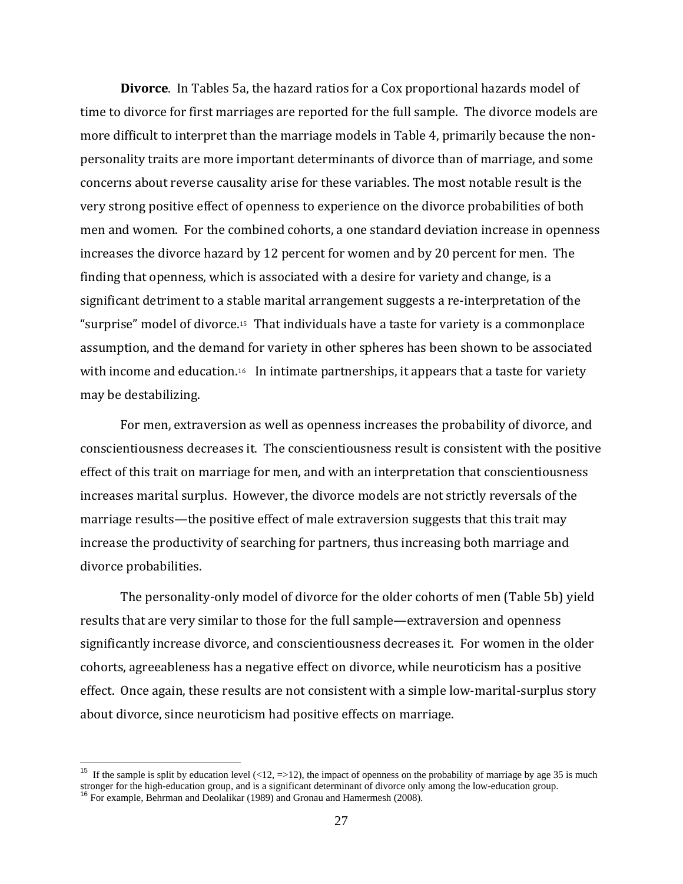<span id="page-27-0"></span>**Divorce**. In Tables 5a, the hazard ratios for a Cox proportional hazards model of time to divorce for first marriages are reported for the full sample. The divorce models are more difficult to interpret than the marriage models in Table 4, primarily because the non‐ personality traits are more important determinants of divorce than of marriage, and some concerns about reverse causality arise for these variables. The most notable result is the very strong positive effect of openness to experience on the divorce probabilities of both men and women. For the combined cohorts, a one standard deviation increase in openness increases the divorce hazard by 12 percent for women and by 20 percent for men. The finding that openness, which is associated with a desire for variety and change, is a significant detriment to a stable marital arrangement suggests a re-interpretation of the "surprise" model of divorce.[15](#page-27-0) That individuals have a taste for variety is a commonplace assumption, and the demand for variety in other spheres has been shown to be associated with income and education.<sup>[16](#page-27-0)</sup> In intimate partnerships, it appears that a taste for variety may be destabilizing.

For men, extraversion as well as openness increases the probability of divorce, and conscientiousness decreases it. The conscientiousness result is consistent with the positive effect of this trait on marriage for men, and with an interpretation that conscientiousness increases marital surplus. However, the divorce models are not strictly reversals of the marriage results—the positive effect of male extraversion suggests that this trait may increase the productivity of searching for partners, thus increasing both marriage and divorce probabilities.

The personality-only model of divorce for the older cohorts of men (Table 5b) yield results that are very similar to those for the full sample—extraversion and openness significantly increase divorce, and conscientiousness decreases it. For women in the older cohorts, agreeableness has a negative effect on divorce, while neuroticism has a positive effect. Once again, these results are not consistent with a simple low-marital-surplus story about divorce, since neuroticism had positive effects on marriage.

 $\overline{a}$ 

<sup>&</sup>lt;sup>15</sup> If the sample is split by education level  $\left($ <12, =>12), the impact of openness on the probability of marriage by age 35 is much stronger for the high-education group, and is a significant determinant of divorce only among the low-education group.<br><sup>16</sup> For example, Behrman and Deolalikar (1989) and Gronau and Hamermesh (2008).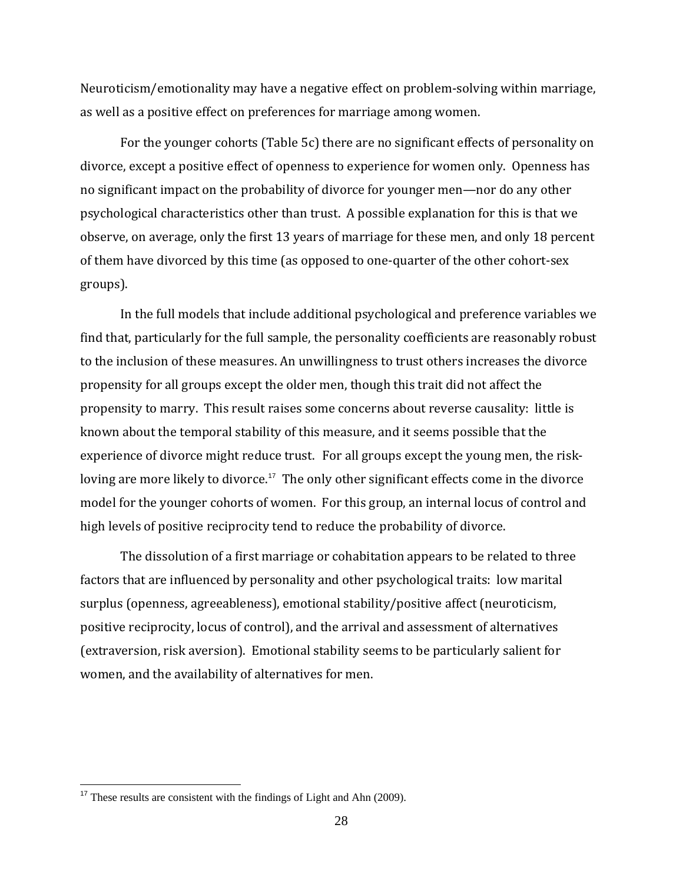<span id="page-28-0"></span>Neuroticism/emotionality may have a negative effect on problem‐solving within marriage, as well as a positive effect on preferences for marriage among women.

For the younger cohorts (Table 5c) there are no significant effects of personality on divorce, except a positive effect of openness to experience for women only. Openness has no significant impact on the probability of divorce for younger men—nor do any other psychological characteristics other than trust. A possible explanation for this is that we observe, on average, only the first 13 years of marriage for these men, and only 18 percent of them have divorced by this time (as opposed to one‐quarter of the other cohort‐sex groups).

In the full models that include additional psychological and preference variables we find that, particularly for the full sample, the personality coefficients are reasonably robust to the inclusion of these measures. An unwillingness to trust others increases the divorce propensity for all groups except the older men, though this trait did not affect the propensity to marry. This result raises some concerns about reverse causality: little is known about the temporal stability of this measure, and it seems possible that the experience of divorce might reduce trust. For all groups except the young men, the risk-loving are more likely to divorce.<sup>[17](#page-28-0)</sup> The only other significant effects come in the divorce model for the younger cohorts of women. For this group, an internal locus of control and high levels of positive reciprocity tend to reduce the probability of divorce.

The dissolution of a first marriage or cohabitation appears to be related to three factors that are influenced by personality and other psychological traits: low marital surplus (openness, agreeableness), emotional stability/positive affect (neuroticism, positive reciprocity, locus of control), and the arrival and assessment of alternatives (extraversion, risk aversion). Emotional stability seems to be particularly salient for women, and the availability of alternatives for men.

 $\overline{a}$ 

<sup>&</sup>lt;sup>17</sup> These results are consistent with the findings of Light and Ahn (2009).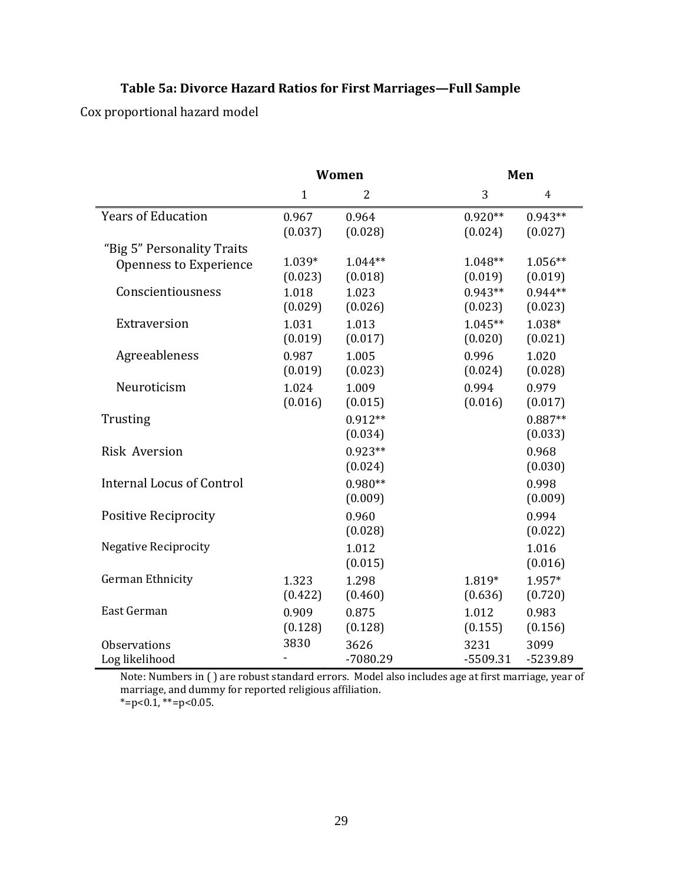# **Table 5a: Divorce Hazard Ratios for First Marriages—Full Sample**

Cox proportional hazard model

|                                  | <b>Women</b>     |                  | Men                  |                      |  |
|----------------------------------|------------------|------------------|----------------------|----------------------|--|
|                                  | $\mathbf{1}$     | $\overline{2}$   | 3                    | $\overline{4}$       |  |
| <b>Years of Education</b>        | 0.967<br>(0.037) | 0.964<br>(0.028) | $0.920**$<br>(0.024) | $0.943**$<br>(0.027) |  |
| "Big 5" Personality Traits       |                  |                  |                      |                      |  |
| Openness to Experience           | 1.039*           | $1.044**$        | $1.048**$            | 1.056**              |  |
|                                  | (0.023)          | (0.018)          | (0.019)              | (0.019)              |  |
| Conscientiousness                | 1.018<br>(0.029) | 1.023<br>(0.026) | $0.943**$<br>(0.023) | $0.944**$<br>(0.023) |  |
| Extraversion                     | 1.031            | 1.013            | $1.045**$            | 1.038*               |  |
|                                  | (0.019)          | (0.017)          | (0.020)              | (0.021)              |  |
| Agreeableness                    | 0.987<br>(0.019) | 1.005<br>(0.023) | 0.996<br>(0.024)     | 1.020<br>(0.028)     |  |
| Neuroticism                      | 1.024            | 1.009            | 0.994                | 0.979                |  |
|                                  | (0.016)          | (0.015)          | (0.016)              | (0.017)              |  |
| Trusting                         |                  | $0.912**$        |                      | $0.887**$            |  |
|                                  |                  | (0.034)          |                      | (0.033)              |  |
| <b>Risk Aversion</b>             |                  | $0.923**$        |                      | 0.968                |  |
|                                  |                  | (0.024)          |                      | (0.030)              |  |
| <b>Internal Locus of Control</b> |                  | $0.980**$        |                      | 0.998                |  |
|                                  |                  | (0.009)          |                      | (0.009)              |  |
| <b>Positive Reciprocity</b>      |                  | 0.960            |                      | 0.994                |  |
|                                  |                  | (0.028)          |                      | (0.022)              |  |
| <b>Negative Reciprocity</b>      |                  | 1.012            |                      | 1.016                |  |
|                                  |                  | (0.015)          |                      | (0.016)              |  |
| German Ethnicity                 | 1.323            | 1.298            | 1.819*               | 1.957*               |  |
|                                  | (0.422)          | (0.460)          | (0.636)              | (0.720)              |  |
| East German                      | 0.909            | 0.875            | 1.012                | 0.983                |  |
|                                  | (0.128)          | (0.128)          | (0.155)              | (0.156)              |  |
| <b>Observations</b>              | 3830             | 3626             | 3231                 | 3099                 |  |
| Log likelihood                   |                  | -7080.29         | -5509.31             | -5239.89             |  |

Note: Numbers in () are robust standard errors. Model also includes age at first marriage, year of marriage, and dumm  $* = p < 0.1, ** = p < 0.05.$ y for reported religious affiliation.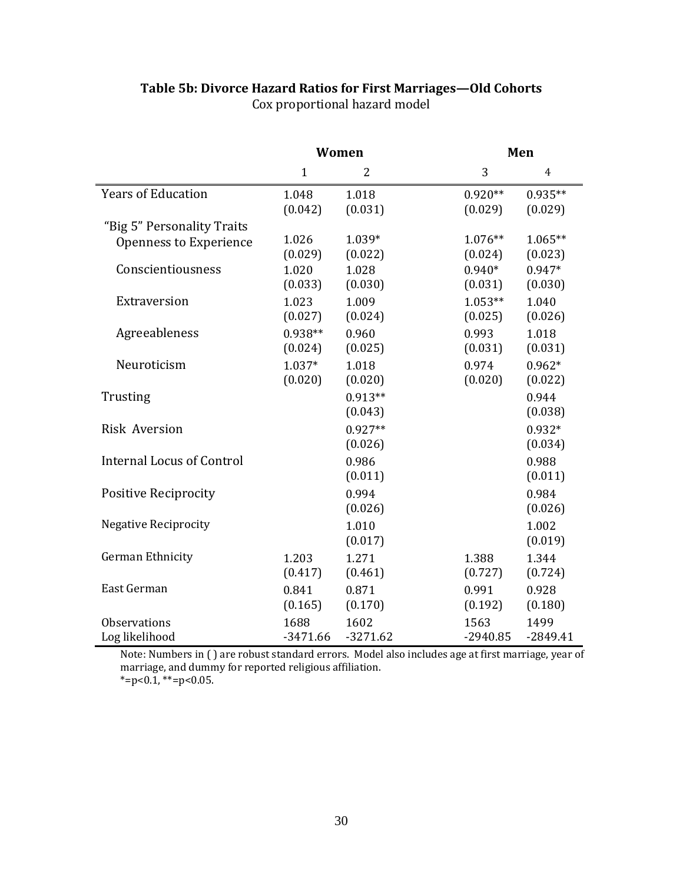|                                  | Women                |                      | Men                  |                      |  |
|----------------------------------|----------------------|----------------------|----------------------|----------------------|--|
|                                  | $\mathbf{1}$         | $\overline{2}$       | 3                    | $\overline{4}$       |  |
| <b>Years of Education</b>        | 1.048<br>(0.042)     | 1.018<br>(0.031)     | $0.920**$<br>(0.029) | $0.935**$<br>(0.029) |  |
| "Big 5" Personality Traits       |                      |                      |                      |                      |  |
| <b>Openness to Experience</b>    | 1.026<br>(0.029)     | 1.039*<br>(0.022)    | $1.076**$<br>(0.024) | $1.065**$<br>(0.023) |  |
| Conscientiousness                | 1.020<br>(0.033)     | 1.028<br>(0.030)     | $0.940*$<br>(0.031)  | $0.947*$<br>(0.030)  |  |
| Extraversion                     | 1.023<br>(0.027)     | 1.009<br>(0.024)     | $1.053**$<br>(0.025) | 1.040<br>(0.026)     |  |
| Agreeableness                    | $0.938**$<br>(0.024) | 0.960<br>(0.025)     | 0.993<br>(0.031)     | 1.018<br>(0.031)     |  |
| Neuroticism                      | $1.037*$<br>(0.020)  | 1.018<br>(0.020)     | 0.974<br>(0.020)     | $0.962*$<br>(0.022)  |  |
| Trusting                         |                      | $0.913**$<br>(0.043) |                      | 0.944<br>(0.038)     |  |
| <b>Risk Aversion</b>             |                      | $0.927**$<br>(0.026) |                      | $0.932*$<br>(0.034)  |  |
| <b>Internal Locus of Control</b> |                      | 0.986<br>(0.011)     |                      | 0.988<br>(0.011)     |  |
| <b>Positive Reciprocity</b>      |                      | 0.994<br>(0.026)     |                      | 0.984<br>(0.026)     |  |
| <b>Negative Reciprocity</b>      |                      | 1.010<br>(0.017)     |                      | 1.002<br>(0.019)     |  |
| German Ethnicity                 | 1.203<br>(0.417)     | 1.271<br>(0.461)     | 1.388<br>(0.727)     | 1.344<br>(0.724)     |  |
| East German                      | 0.841<br>(0.165)     | 0.871<br>(0.170)     | 0.991<br>(0.192)     | 0.928<br>(0.180)     |  |
| Observations                     | 1688                 | 1602                 | 1563                 | 1499                 |  |
| Log likelihood                   | $-3471.66$           | $-3271.62$           | $-2940.85$           | $-2849.41$           |  |

# **Table 5b: Divorce Hazard Ratios for First Marriages—Old Cohorts** Cox proportional hazard model

Note: Numbers in ( ) marriage, and dumm  $*=p<0.1, **=p<0.05$ . are robust standard errors. Model also includes age at first marriage, year of y for reported religious affiliation.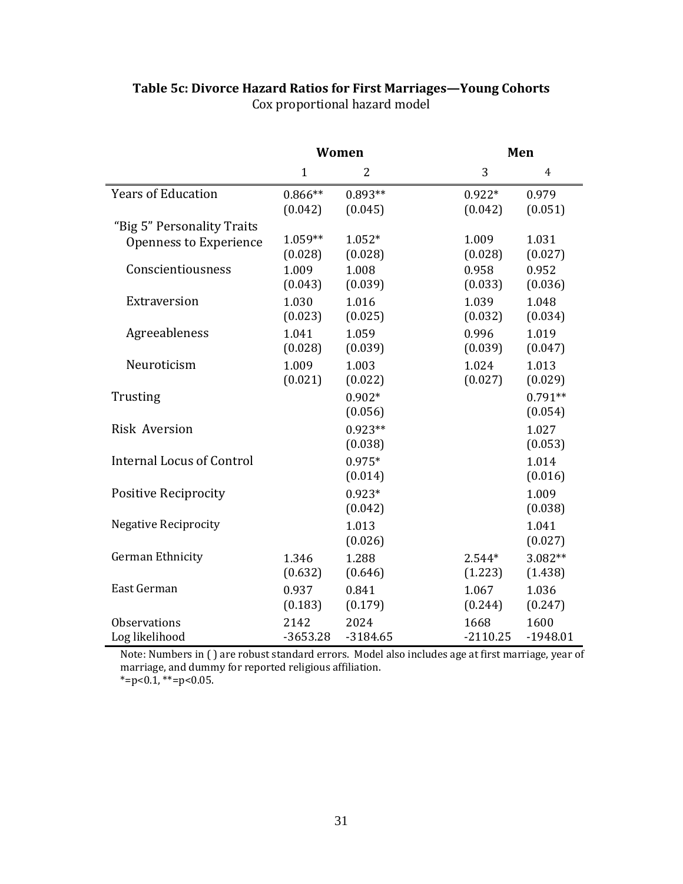|                                  | Women                |                      | Men                 |                      |  |
|----------------------------------|----------------------|----------------------|---------------------|----------------------|--|
|                                  | $\mathbf{1}$         | $\overline{2}$       | 3                   | $\overline{4}$       |  |
| <b>Years of Education</b>        | $0.866**$<br>(0.042) | $0.893**$<br>(0.045) | $0.922*$<br>(0.042) | 0.979<br>(0.051)     |  |
| "Big 5" Personality Traits       |                      |                      |                     |                      |  |
| Openness to Experience           | 1.059**<br>(0.028)   | $1.052*$<br>(0.028)  | 1.009<br>(0.028)    | 1.031<br>(0.027)     |  |
| Conscientiousness                | 1.009<br>(0.043)     | 1.008<br>(0.039)     | 0.958<br>(0.033)    | 0.952<br>(0.036)     |  |
| Extraversion                     | 1.030<br>(0.023)     | 1.016<br>(0.025)     | 1.039<br>(0.032)    | 1.048<br>(0.034)     |  |
| Agreeableness                    | 1.041<br>(0.028)     | 1.059<br>(0.039)     | 0.996<br>(0.039)    | 1.019<br>(0.047)     |  |
| Neuroticism                      | 1.009<br>(0.021)     | 1.003<br>(0.022)     | 1.024<br>(0.027)    | 1.013<br>(0.029)     |  |
| Trusting                         |                      | $0.902*$<br>(0.056)  |                     | $0.791**$<br>(0.054) |  |
| <b>Risk Aversion</b>             |                      | $0.923**$<br>(0.038) |                     | 1.027<br>(0.053)     |  |
| <b>Internal Locus of Control</b> |                      | $0.975*$<br>(0.014)  |                     | 1.014<br>(0.016)     |  |
| <b>Positive Reciprocity</b>      |                      | $0.923*$<br>(0.042)  |                     | 1.009<br>(0.038)     |  |
| <b>Negative Reciprocity</b>      |                      | 1.013<br>(0.026)     |                     | 1.041<br>(0.027)     |  |
| German Ethnicity                 | 1.346<br>(0.632)     | 1.288<br>(0.646)     | $2.544*$<br>(1.223) | 3.082**<br>(1.438)   |  |
| East German                      | 0.937<br>(0.183)     | 0.841<br>(0.179)     | 1.067<br>(0.244)    | 1.036<br>(0.247)     |  |
| <b>Observations</b>              | 2142                 | 2024                 | 1668                | 1600                 |  |
| Log likelihood                   | $-3653.28$           | $-3184.65$           | $-2110.25$          | $-1948.01$           |  |

# **Table 5c: Divorce Hazard Ratios for First Marriages—Young Cohorts** Cox proportional hazard model

Note: Numbers in ( ) marriage, and dumm  $*=p<0.1, **=p<0.05$ . are robust standard errors. Model also includes age at first marriage, year of y for reported religious affiliation.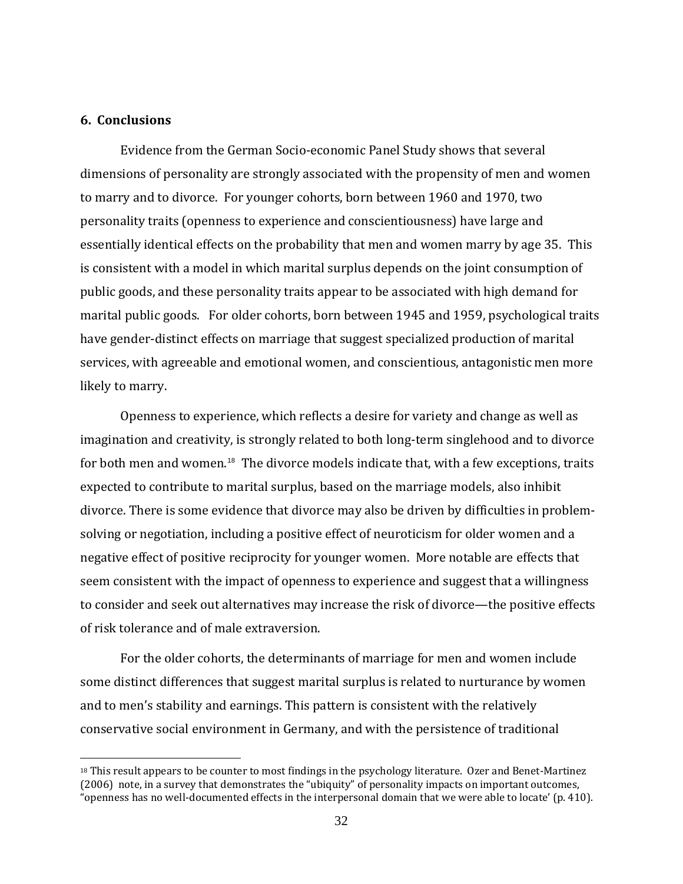## <span id="page-32-0"></span>**6. Conclusions**

 $\overline{a}$ 

Evidence from the German Socio‐economic Panel Study shows that several dimensions of personality are strongly associated with the propensity of men and women to marry and to divorce. For younger cohorts, born between 1960 and 1970, two personality traits (openness to experience and conscientiousness) have large and essentially identical effects on the probability that men and women marry by age 35. This is consistent with a model in which marital surplus depends on the joint consumption of public goods, and these personality traits appear to be associated with high demand for marital public goods. For older cohorts, born between 1945 and 1959, psychological traits have gender-distinct effects on marriage that suggest specialized production of marital services, with agreeable and emotional women, and conscientious, antagonistic men more likely to marry.

Openness to experience, which reflects a desire for variety and change as well as imagination and creativity, is strongly related to both long-term singlehood and to divorce for both men and women.<sup>[18](#page-32-0)</sup> The divorce models indicate that, with a few exceptions, traits expected to contribute to marital surplus, based on the marriage models, also inhibit divorce. There is some evidence that divorce may also be driven by difficulties in problem‐ solving or negotiation, including a positive effect of neuroticism for older women and a negative effect of positive reciprocity for younger women. More notable are effects that seem consistent with the impact of openness to experience and suggest that a willingness to consider and seek out alternatives may increase the risk of divorce—the positive effects of risk tolerance and of male extraversion.

For the older cohorts, the determinants of marriage for men and women include some distinct differences that suggest marital surplus is related to nurturance by women and to men's stability and earnings. This pattern is consistent with the relatively conservative social environment in Germany, and with the persistence of traditional

<sup>&</sup>lt;sup>18</sup> This result appears to be counter to most findings in the psychology literature. Ozer and Benet-Martinez (2006) note, in a survey that demonstrates the "ubiquity" of personality impacts on important outcomes, "openness has no well‐documented effects in the interpersonal domain that we were able to locate' (p. 410).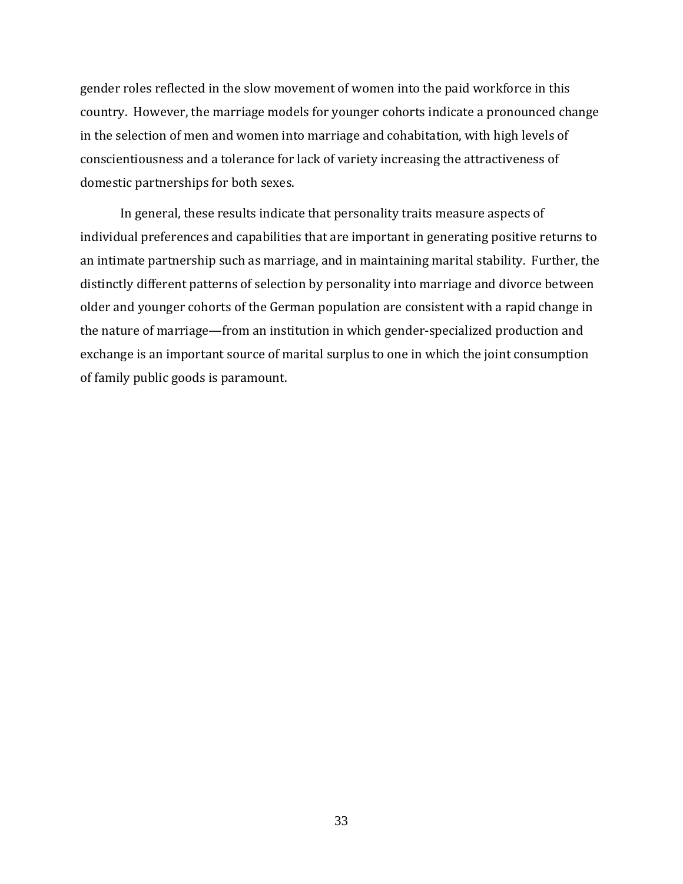gender roles reflected in the slow movement of women into the paid workforce in this country. However, the marriage models for younger cohorts indicate a pronounced change in the selection of men and women into marriage and cohabitation, with high levels of conscientiousness and a tolerance for lack of variety increasing the attractiveness of domestic partnerships for both sexes.

In general, these results indicate that personality traits measure aspects of individual preferences and capabilities that are important in generating positive returns to an intimate partnership such as marriage, and in maintaining marital stability. Further, the distinctly different patterns of selection by personality into marriage and divorce between older and younger cohorts of the German population are consistent with a rapid change in the nature of marriage—from an institution in which gender‐specialized production and exchange is an important source of marital surplus to one in which the joint consumption of family public goods is paramount.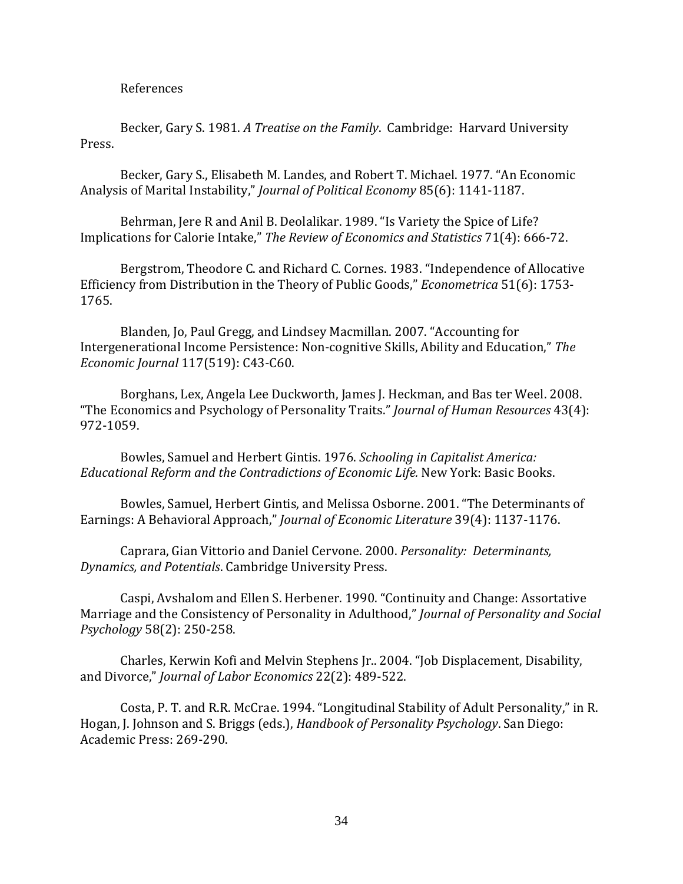References

Becker, Gary S. 1981. *A Treatise on the Family*. Cambridge: Harvard University Press.

Becker, Gary S., Elisabeth M. Landes, and Robert T. Michael. 1977. "An Economic Analysis of Marital Instability," *Journal of Political Economy* 85(6): 1141‐1187.

Behrman, Jere R and Anil B. Deolalikar. 1989. "Is Variety the Spice of Life? Implications for Calorie Intake," *The Review of Economics and Statistics* 71(4): 666‐72.

Bergstrom, Theodore C. and Richard C. Cornes. 1983. "Independence of Allocative Efficiency from Distribution in the Theory of Public Goods," *Econometrica* 51(6): 1753‐ 1765.

Blanden, Jo, Paul Gregg, and Lindsey Macmillan. 2007. ["Accounting for](http://www.blackwell-synergy.com/doi/abs/10.1111/j.1468-0297.2007.02034.x)  [Intergenerational Income Persistence: Non‐cognitive Skills, Ability and Education,](http://www.blackwell-synergy.com/doi/abs/10.1111/j.1468-0297.2007.02034.x)" *The Economic Journal* 117(519): C43‐C60.

Borghans, Lex, Angela Lee Duckworth, James J. Heckman, and Bas ter Weel. 2008. "The Economics and Psychology of Personality Traits." *Journal of Human Resources* 43(4): 972‐1059.

Bowles, Samuel and Herbert Gintis. 1976. *Schooling in Capitalist America: Educational Reform and the Contradictions of Economic Life.* New York: Basic Books.

Bowles, Samuel, Herbert Gintis, and Melissa Osborne. 2001. "[The Determinants of](http://ideas.repec.org/a/aea/jeclit/v39y2001i4p1137-1176.html)  [Earning](http://ideas.repec.org/a/aea/jeclit/v39y2001i4p1137-1176.html)s: A Behavioral Approach," *Journal of Economic [Literature](http://ideas.repec.org/a/aea/jeclit/v39y2001i4p1137-1176.html)* 39(4): 1137‐1176.

Caprara, Gian Vittorio and Daniel Cervone. 2000. *Personality: Determinants, Dynam ics, and Potentials*. Cambridge University Press.

Caspi, Avshalom and Ellen S. Herbener. 1990. "Continuity and Change: Assortative Marriage and the Consistency of Personality in Adulthood," *Journal of Personality and Social Psychology* 58(2): 250‐258.

Charles, Kerwin Kofi and Melvin Stephens Jr.. 2004. "Job Displacement, Disability, and Divorce," *Journal of Labor Economics* 22(2): 489‐522.

Costa, P. T. and R.R. McCrae. 1994. "Longitudinal Stability of Adult Personality," in R. Hogan, J. Johnson and S. Briggs (eds.), *Handbook of Personality Psychology*. San Diego: Academic Press: 269‐290.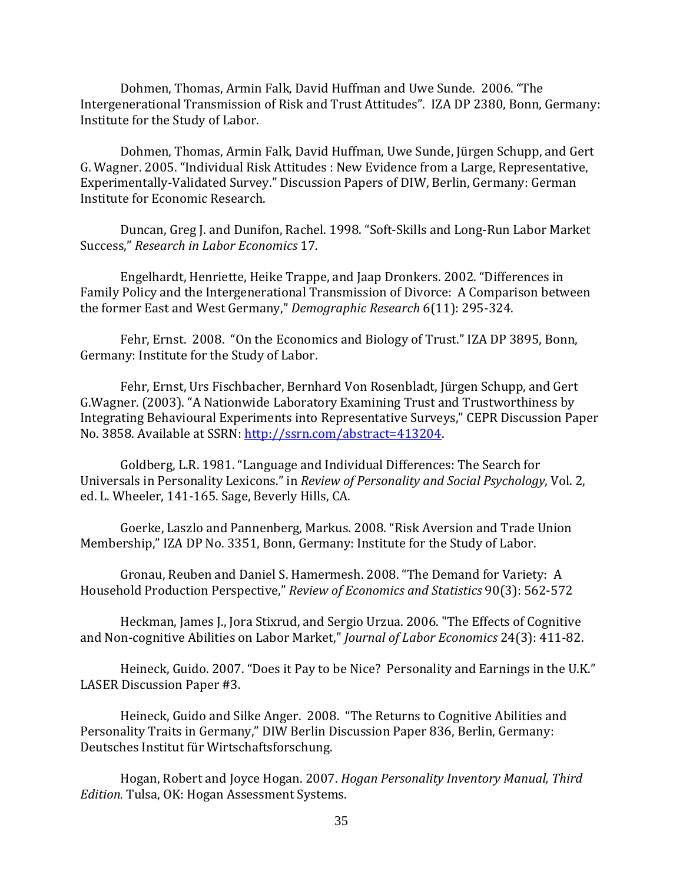Dohmen, Thomas, Armin Falk, David Huffman and Uwe Sunde. 2006. "The Intergenerational Transmission of Risk and Trust Attitudes". IZA DP 2380, Bonn, Germany: Institute for the Study of Labor.

Dohmen, Thomas, Armin Falk, David Huffman, Uwe Sunde, Jürgen Schupp, and Gert G. Wagner. 2005. "Individual Risk Attitudes : New Evidence from a Large, Representative, Experimentally‐Validated Survey." Discussion Papers of DIW, Berlin, Germany: German Institute for Economic Research.

Duncan, Greg J. and Dunifon, Rachel. 1998. "Soft‐Skills and Long‐Run Labor Market Success," *Research in Labor Economics* 17.

Engelhardt, Henriette, Heike Trappe, and Jaap Dronkers. 2002. "Differences in Family Policy and the Intergenerational Transmission of Divorce: A Comparison between the former East and West Germany," *Demographic Research* 6(11): 295‐324.

Fehr, Ernst. 2008. "On the Economics and Biology of Trust." IZA DP 3895, Bonn, Germany: Institute for the Study of Labor.

Fehr, Ernst, Urs Fischbacher, Bernhard Von Rosenbladt, Jürgen Schupp, and Gert G.Wagner. (2003). "A Nationwide Laboratory Examining Trust and Trustworthiness by Integrating Behavioural Experiments into Representative Surveys," CEPR Discussion Paper No. 3858. Available at SSRN: http://ssrn.com/abstract=413204.

Goldberg, L.R. 1981. "Language and Individual Differences: The Search for Universals in Personality Lexicons." in *Review of Personality and Social Psychology*, Vol. 2, ed. L. Wheeler, 141‐165. Sage, Beverly Hills, CA.

Goerke, Laszlo and Pannenberg, Markus. 2008. "Risk Aversion and Trade Union Membership," IZA DP No. 3351, Bonn, Germany: Institute for the Study of Labor.

Gronau, Reuben and Daniel S. Hamermesh. 2008. "The Demand for Variety: A Household Production Perspective," *Review of Economics and Statistics* 90(3): 562‐572

Heckman, James J., Jora Stixrud, and Sergio Urzua. 2006. "The Effects of Cognitive and Non‐cognitive Abilities on Labor Market," *Journal of Labor Economics* 24(3): 411‐82.

Heineck, Guido. 2007. "Does it Pay to be Nice? Personality and Earnings in the U.K." LASER Discussion Paper #3.

Heineck, Guido and Silke Anger. 2008. "The Returns to Cognitive Abilities and Personality Traits in Germany," DIW Berlin Discussion Paper 836, Berlin, Germany: Deutsches Institut für Wirtschaftsforschung.

Hogan, Robert and Joyce Hogan. 2007. *Hogan Personality Inventory Manual, Third Edition.* Tulsa, OK: Hogan Assessment Systems.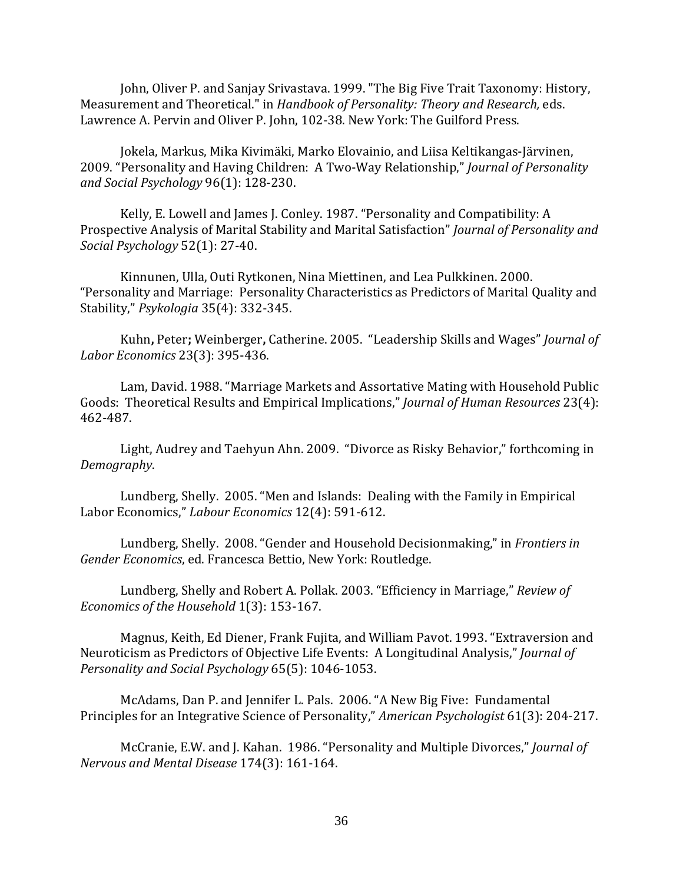John, Oliver P. and Sanjay Srivastava. 1999. "The Big Five Trait Taxonomy: History, Measurement and Theoretical." in *Handbook of Personality: Theory and Research,* eds. Lawrence A. Pervin and Oliver P. John, 102‐38. New York: The Guilford Press.

Jokela, Markus, Mika Kivimäki, Marko Elovainio, and Liisa Keltikangas‐Järvinen, 2009. "Personality and Having Children: A Two‐Way Relationship," *Journal of Personality and Social Psychology* 96(1): 128‐230.

Kelly, E. Lowell and James J. Conley. 1987. "Personality and Compatibility: A Prospective Analysis of Marital Stability and Marital Satisfaction" *Journal of Personality and Social Psychology* 52(1): 27‐40.

Kinnunen, Ulla, Outi Rytkonen, Nina Miettinen, and Lea Pulkkinen. 2000. "Personality and Marriage: Personality Characteristics as Predictors of Marital Quality and Stability," *Psykologia* 35(4): 332‐345.

Kuhn**,** Peter**;** Weinberger**,** Catherine. 2005. "Leadership Skills and Wages" *Journal of Labor Economics* 23(3): 395‐436.

Lam, David. 1988. "Marriage Markets and Assortative Mating with Household Public Goods: Theoretical Results and Empirical Implications," *Journal of Human Resources* 23(4): 462‐487.

Light, Audrey and Taehyun Ahn. 2009. "Divorce as Risky Behavior," forthcoming in *Demography*.

Lundberg, Shelly. 2005. "Men and Islands: Dealing with the Family in Empirical Labor Economics," *Labour Economics* 12(4): 591‐612.

Lundberg, Shelly. 2008. "Gender and Household Decisionmaking," in *Frontiers in Gender Economics*, ed. Francesca Bettio, New York: Routledge.

Lundberg, Shelly and Robert A. Pollak. 2003. "Efficiency in Marriage," *Review of Economics of the Household* 1(3): 153‐167.

Magnus, Keith, Ed Diener, Frank Fujita, and William Pavot. 1993. "Extraversion and Neuroticism as Predictors of Objective Life Events: A Longitudinal Analysis," *Journal of Personality and Social Psychology* 65(5): 1046‐1053.

McAdams, Dan P. and Jennifer L. Pals. 2006. "A New Big Five: Fundamental Principles for an Integrative Science of Personality," *American Psychologist* 61(3): 204‐217.

McCranie, E.W. and J. Kahan. 1986. "Personality and Multiple Divorces," *Journal of Nervous and Mental Disease* 174(3): 161‐164.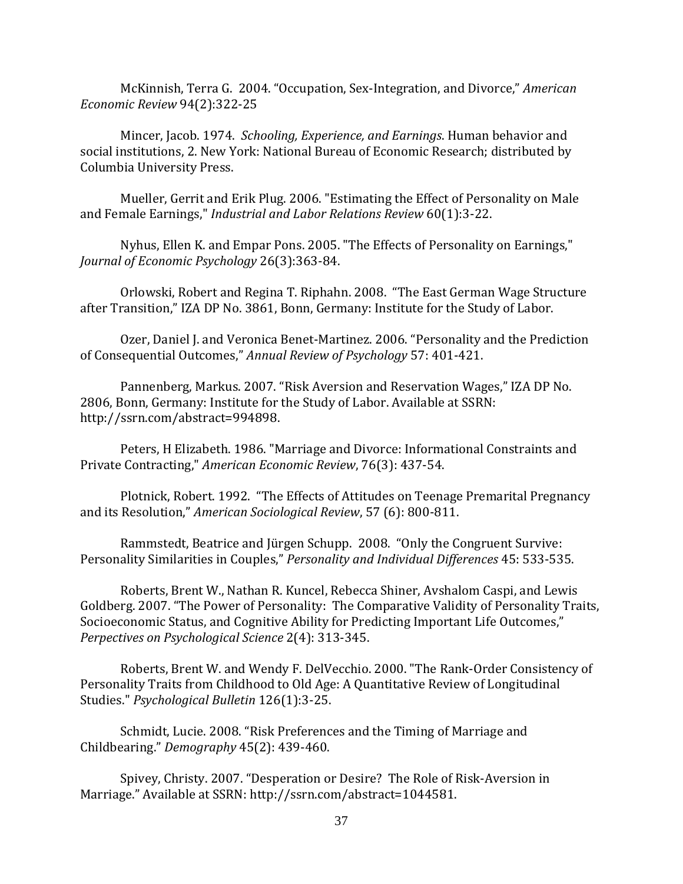McKinnish, Terra G. 2004. "Occupation, Sex‐Integration, and Divorce," *American Economic Review* 94(2):322‐25

Mincer, Jacob. 1974. *Schooling, Experience, and Earnings*. Human behavior and social institutions, 2. New York: National Bureau of Economic Research; distributed by Columbia University Press.

Mueller, Gerrit and Erik Plug. 2006. "Estimating the Effect of Personality on Male and Female Earnings," *Industrial and Labor Relations Review* 60(1):3‐22.

Nyhus, Ellen K. and Empar Pons. 2005. "The Effects of Personality on Earnings," *Journal of Economic Psychology* 26(3):363‐84.

Orlowski, Robert and Regina T. Riphahn. 2008. "The East German Wage Structure after Transition," IZA DP No. 3861, Bonn, Germany: Institute for the Study of Labor.

Ozer, Daniel J. and Veronica Benet‐Martinez. 2006. "Personality and the Prediction of Consequential Outcomes," *Annual Review of Psychology* 57: 401‐421.

Pannenberg, Markus. 2007. "Risk Aversion and Reservation Wages," IZA DP No. 2806, Bonn, Germany: Institute for the Study of Labor. Available at SSRN: http://ssrn.com/abstract=994898.

Peters, H Elizabeth. 1986. ["Marriage and Divorce: Informational Constraints and](http://ideas.repec.org/a/aea/aecrev/v76y1986i3p437-54.html)  [Private](http://ideas.repec.org/a/aea/aecrev/v76y1986i3p437-54.html) Contracting," *American Economic Review*, 76(3): 437‐54.

Plotnick, Robert. 1992. "The Effects of Attitudes on Teenage Premarital Pregnancy and its Resolution," *American Sociological Review*, 57 (6): 800‐811.

Rammstedt, Beatrice and Jürgen Schupp. 2008. "Only the Congruent Survive: Personality Similarities in Couples," *Personality and Individual Differences* 45: 533‐535.

Roberts, Brent W., Nathan R. Kuncel, Rebecca Shiner, Avshalom Caspi, and Lewis Goldberg. 2007. "The Power of Personality: The Comparative Validity of Personality Traits, Socioeconomic Status, and Cognitive Ability for Predicting Important Life Outcomes," *Perpectives on Psychological Science* 2(4): 313‐345.

Roberts, Brent W. and Wendy F. DelVecchio. 2000. "The Rank‐Order Consistency of Personality Traits from Childhood to Old Age: A Quantitative Review of Longitudinal Studies." *Psychological Bulletin* 126(1):3‐25.

Schmidt, Lucie. 2008. "Risk Preferences and the Timing of Marriage and Childbearing." *Demography* 45(2): 439‐460.

Spivey, Christy. 2007. "Desperation or Desire? The Role of Risk‐Aversion in Marriage." Available at SSRN: http://ssrn.com/abstract=1044581.